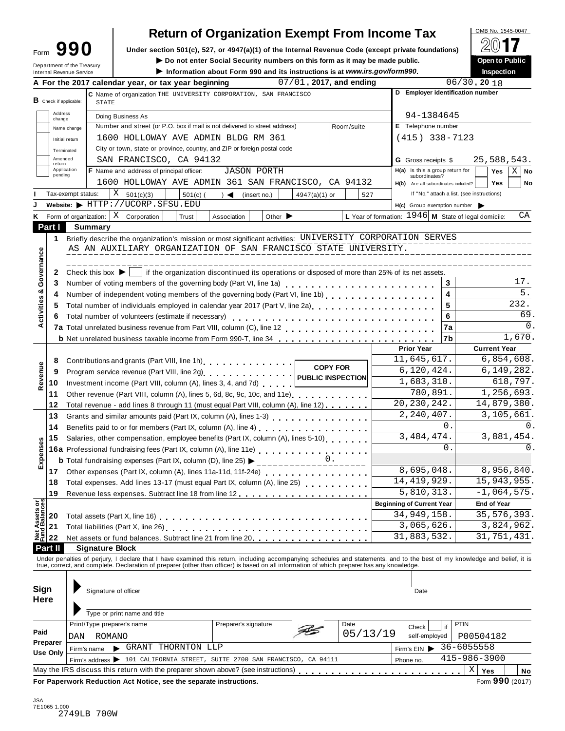| Form | q                                                             |
|------|---------------------------------------------------------------|
|      | Department of the Treasury<br><b>Internal Revenue Service</b> |

# **Return of Organization Exempt From Income Tax**<br>section 501(c), 527, or 4947(a)(1) of the Internal Revenue Code (except private foundations)

Form  $\mathbf{990}$  Under section 501(c), 527, or 4947(a)(1) of the Internal Revenue Code (except private foundations)  $\Box$  **CUII** 

▶ Do not enter Social Security numbers on this form as it may be made public. **Open to Pub**<br>▶ Information about Form 990 and its instructions is at www.irs.gov/form990. Inspection

Information about Form 990 and its instructions is at www.irs.gov/form990.

|                                        |                               |                                                                                                                        | 07/01, 2017, and ending<br>A For the 2017 calendar year, or tax year beginning                                                                                             |                                                                   |                                                        | $06/30$ , 20 18                            |  |
|----------------------------------------|-------------------------------|------------------------------------------------------------------------------------------------------------------------|----------------------------------------------------------------------------------------------------------------------------------------------------------------------------|-------------------------------------------------------------------|--------------------------------------------------------|--------------------------------------------|--|
|                                        | <b>B</b> Check if applicable: |                                                                                                                        | C Name of organization THE UNIVERSITY CORPORATION, SAN FRANCISCO<br><b>STATE</b>                                                                                           |                                                                   | D Employer identification number                       |                                            |  |
| Address<br>change                      |                               |                                                                                                                        | Doing Business As                                                                                                                                                          |                                                                   | 94-1384645                                             |                                            |  |
|                                        |                               | Name change                                                                                                            | Number and street (or P.O. box if mail is not delivered to street address)                                                                                                 | Room/suite                                                        | E Telephone number                                     |                                            |  |
|                                        |                               | Initial return                                                                                                         | 1600 HOLLOWAY AVE ADMIN BLDG RM 361                                                                                                                                        |                                                                   | $(415)$ 338-7123                                       |                                            |  |
|                                        |                               | City or town, state or province, country, and ZIP or foreign postal code<br>Terminated                                 |                                                                                                                                                                            |                                                                   |                                                        |                                            |  |
|                                        | Amended                       |                                                                                                                        | SAN FRANCISCO, CA 94132                                                                                                                                                    |                                                                   | <b>G</b> Gross receipts \$                             | 25,588,543.                                |  |
|                                        | return                        | Application                                                                                                            | F Name and address of principal officer:<br><b>JASON PORTH</b>                                                                                                             |                                                                   | H(a) Is this a group return for                        | $X \mid$ No<br>Yes                         |  |
|                                        | pending                       |                                                                                                                        | 1600 HOLLOWAY AVE ADMIN 361 SAN FRANCISCO, CA 94132                                                                                                                        | subordinates?<br>Yes<br>No<br>H(b) Are all subordinates included? |                                                        |                                            |  |
|                                        |                               | Tax-exempt status:                                                                                                     | X<br>501(c)(3)<br>$501(c)$ (<br>$) \triangleleft$ (insert no.)<br>4947(a)(1) or                                                                                            | 527                                                               |                                                        | If "No," attach a list. (see instructions) |  |
|                                        |                               |                                                                                                                        | Website: $\blacktriangleright$ HTTP://UCORP.SFSU.EDU                                                                                                                       |                                                                   | $H(c)$ Group exemption number                          |                                            |  |
| ĸ                                      |                               |                                                                                                                        | Form of organization: $\mid X \mid$ Corporation<br>Other $\blacktriangleright$<br>Trust<br>Association                                                                     |                                                                   | L Year of formation: $1946$ M State of legal domicile: | CA                                         |  |
|                                        | Part I                        |                                                                                                                        | Summary                                                                                                                                                                    |                                                                   |                                                        |                                            |  |
|                                        | 1                             |                                                                                                                        | Briefly describe the organization's mission or most significant activities: UNIVERSITY CORPORATION SERVES                                                                  |                                                                   |                                                        |                                            |  |
|                                        |                               |                                                                                                                        | AS AN AUXILIARY ORGANIZATION OF SAN FRANCISCO STATE UNIVERSITY.                                                                                                            |                                                                   |                                                        |                                            |  |
|                                        |                               |                                                                                                                        |                                                                                                                                                                            |                                                                   |                                                        |                                            |  |
|                                        |                               |                                                                                                                        | Check this box $\blacktriangleright$   if the organization discontinued its operations or disposed of more than 25% of its net assets.                                     |                                                                   |                                                        |                                            |  |
| Governance                             | 2                             |                                                                                                                        |                                                                                                                                                                            |                                                                   |                                                        | 17.                                        |  |
|                                        | 3<br>4                        |                                                                                                                        |                                                                                                                                                                            |                                                                   | 3<br>4                                                 | $\overline{5}$ .                           |  |
| Activities &                           |                               |                                                                                                                        | Number of independent voting members of the governing body (Part VI, line 1b)                                                                                              |                                                                   |                                                        | 232.                                       |  |
|                                        | 5                             |                                                                                                                        | Total number of individuals employed in calendar year 2017 (Part V, line 2a)<br>The 2a)                                                                                    |                                                                   | 5                                                      | 69.                                        |  |
|                                        |                               |                                                                                                                        |                                                                                                                                                                            |                                                                   | 6                                                      | $\overline{0}$ .                           |  |
|                                        |                               |                                                                                                                        |                                                                                                                                                                            |                                                                   | 7a                                                     | 1,670.                                     |  |
|                                        |                               |                                                                                                                        | <b>b</b> Net unrelated business taxable income from Form 990-T, line 34                                                                                                    |                                                                   | 7b                                                     | <b>Current Year</b>                        |  |
|                                        |                               |                                                                                                                        |                                                                                                                                                                            |                                                                   | <b>Prior Year</b>                                      |                                            |  |
|                                        | 8                             |                                                                                                                        | <b>COPY FOR</b>                                                                                                                                                            |                                                                   | 11,645,617.                                            | 6,854,608.                                 |  |
| Revenue                                | 9                             |                                                                                                                        |                                                                                                                                                                            |                                                                   | 6, 120, 424.                                           | 6, 149, 282.                               |  |
|                                        | 10                            |                                                                                                                        | Investment income (Part VIII, column (A), lines 3, 4, and 7d)                                                                                                              |                                                                   | 1,683,310.                                             | 618,797.                                   |  |
|                                        | 11                            |                                                                                                                        | Other revenue (Part VIII, column (A), lines 5, 6d, 8c, 9c, 10c, and 11e)                                                                                                   |                                                                   | 780,891.                                               | 1,256,693.                                 |  |
|                                        | 12                            |                                                                                                                        | Total revenue - add lines 8 through 11 (must equal Part VIII, column (A), line 12)                                                                                         |                                                                   | 20, 230, 242.                                          | 14,879,380.                                |  |
|                                        | 13                            |                                                                                                                        |                                                                                                                                                                            |                                                                   | 2, 240, 407.                                           | 3,105,661.                                 |  |
|                                        | 14                            |                                                                                                                        | Benefits paid to or for members (Part IX, column (A), line 4)                                                                                                              |                                                                   | 0.                                                     | 0.                                         |  |
|                                        | 15                            |                                                                                                                        | Salaries, other compensation, employee benefits (Part IX, column (A), lines 5-10)                                                                                          |                                                                   | 3,484,474.                                             | 3,881,454.                                 |  |
| Expenses                               |                               |                                                                                                                        |                                                                                                                                                                            |                                                                   | $\Omega$ .                                             | 0.                                         |  |
|                                        |                               |                                                                                                                        | <b>b</b> Total fundraising expenses (Part IX, column (D), line 25) $\blacktriangleright$                                                                                   |                                                                   |                                                        |                                            |  |
|                                        |                               |                                                                                                                        |                                                                                                                                                                            |                                                                   | 8,695,048.                                             | 8,956,840.                                 |  |
|                                        |                               |                                                                                                                        | 18 Total expenses. Add lines 13-17 (must equal Part IX, column (A), line 25)                                                                                               |                                                                   | 14, 419, 929.                                          | 15, 943, 955.                              |  |
|                                        |                               |                                                                                                                        | 19 Revenue less expenses. Subtract line 18 from line 12.                                                                                                                   |                                                                   | 5,810,313.                                             | $-1,064,575.$                              |  |
|                                        |                               |                                                                                                                        |                                                                                                                                                                            |                                                                   | <b>Beginning of Current Year</b>                       | <b>End of Year</b>                         |  |
| <b>Net Assets or<br/>Fund Balances</b> | 20                            |                                                                                                                        |                                                                                                                                                                            |                                                                   | 34, 949, 158.                                          | 35, 576, 393.                              |  |
|                                        | 21                            |                                                                                                                        |                                                                                                                                                                            |                                                                   | 3,065,626.                                             | 3,824,962.                                 |  |
|                                        | 22                            |                                                                                                                        | Net assets or fund balances. Subtract line 21 from line 20.                                                                                                                |                                                                   | 31,883,532.                                            | 31,751,431.                                |  |
|                                        | Part II                       |                                                                                                                        | <b>Signature Block</b>                                                                                                                                                     |                                                                   |                                                        |                                            |  |
|                                        |                               |                                                                                                                        | Under penalties of perjury, I declare that I have examined this return, including accompanying schedules and statements, and to the best of my knowledge and belief, it is |                                                                   |                                                        |                                            |  |
|                                        |                               |                                                                                                                        | true, correct, and complete. Declaration of preparer (other than officer) is based on all information of which preparer has any knowledge.                                 |                                                                   |                                                        |                                            |  |
|                                        |                               |                                                                                                                        |                                                                                                                                                                            |                                                                   |                                                        |                                            |  |
| Sign                                   |                               |                                                                                                                        | Signature of officer                                                                                                                                                       |                                                                   | Date                                                   |                                            |  |
| Here                                   |                               |                                                                                                                        |                                                                                                                                                                            |                                                                   |                                                        |                                            |  |
|                                        |                               |                                                                                                                        | Type or print name and title                                                                                                                                               |                                                                   |                                                        |                                            |  |
|                                        |                               |                                                                                                                        | Print/Type preparer's name<br>Preparer's signature                                                                                                                         | Date                                                              | if<br>Check                                            | PTIN                                       |  |
| Paid                                   |                               | DAN                                                                                                                    | ROMANO                                                                                                                                                                     | 05/13/19                                                          | self-employed                                          | P00504182                                  |  |
|                                        | Preparer                      | 36-6055558<br>GRANT THORNTON LLP<br>Firm's EIN                                                                         |                                                                                                                                                                            |                                                                   |                                                        |                                            |  |
|                                        | Use Only                      | Firm's name<br>415-986-3900<br>Firm's address > 101 CALIFORNIA STREET, SUITE 2700 SAN FRANCISCO, CA 94111<br>Phone no. |                                                                                                                                                                            |                                                                   |                                                        |                                            |  |
|                                        |                               |                                                                                                                        | May the IRS discuss this return with the preparer shown above? (see instructions)                                                                                          |                                                                   |                                                        | X<br>Yes                                   |  |
|                                        |                               |                                                                                                                        |                                                                                                                                                                            |                                                                   |                                                        | No<br>Form 990 (2017)                      |  |
|                                        |                               |                                                                                                                        | For Paperwork Reduction Act Notice, see the separate instructions.                                                                                                         |                                                                   |                                                        |                                            |  |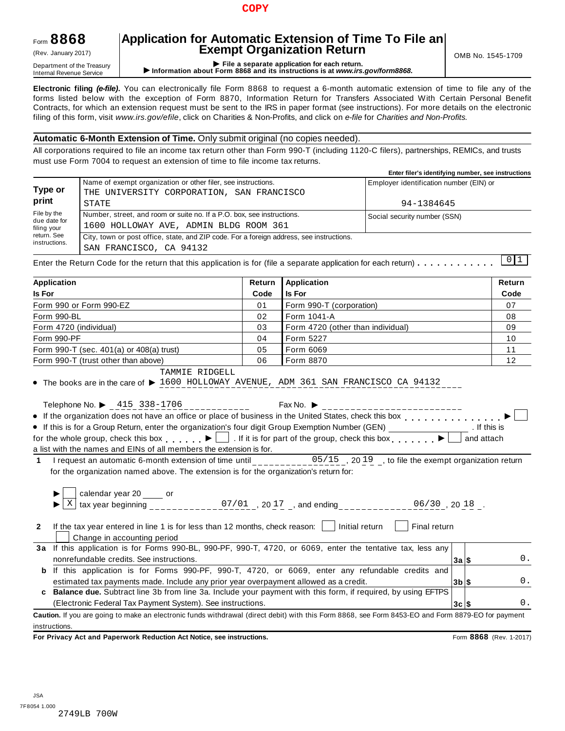### **COPY**

## Form **8868**

# **Application for Automatic Extension of Time To File an Exempt Organization Return** (Rev. January 2017) OMB No. 1545-1709

### **Automatic 6-Month Extension of Time.** Only submit original (no copies needed).

|                             |                                                                                          | Enter filer's identifying number, see instructions |  |  |  |  |
|-----------------------------|------------------------------------------------------------------------------------------|----------------------------------------------------|--|--|--|--|
|                             | Name of exempt organization or other filer, see instructions.                            | Employer identification number (EIN) or            |  |  |  |  |
| Type or                     | THE UNIVERSITY CORPORATION, SAN FRANCISCO                                                |                                                    |  |  |  |  |
| print                       | STATE                                                                                    | 94-1384645                                         |  |  |  |  |
| File by the                 | Number, street, and room or suite no. If a P.O. box, see instructions.                   | Social security number (SSN)                       |  |  |  |  |
| due date for<br>filing your | 1600 HOLLOWAY AVE, ADMIN BLDG ROOM 361                                                   |                                                    |  |  |  |  |
| return. See                 | City, town or post office, state, and ZIP code. For a foreign address, see instructions. |                                                    |  |  |  |  |
| instructions.               | SAN FRANCISCO, CA 94132                                                                  |                                                    |  |  |  |  |
|                             |                                                                                          |                                                    |  |  |  |  |

| Application                              | Return | <b>Application</b>                | Return |
|------------------------------------------|--------|-----------------------------------|--------|
| <b>Is For</b>                            | Code   | <b>Is For</b>                     | Code   |
| Form 990 or Form 990-EZ                  | 01     | Form 990-T (corporation)          | 07     |
| Form 990-BL                              | 02     | Form 1041-A                       | 08     |
| Form 4720 (individual)                   | 03     | Form 4720 (other than individual) | 09     |
| Form 990-PF                              | 04     | Form 5227                         | 10     |
| Form 990-T (sec. 401(a) or 408(a) trust) | 05     | Form 6069                         | 11     |
| Form 990-T (trust other than above)      | 06     | Form 8870                         | 12     |

| Telephone No. $\blacktriangleright$ 415 338-1706                                                                                                                            | Fax No. $\blacktriangleright$                      |                                       |
|-----------------------------------------------------------------------------------------------------------------------------------------------------------------------------|----------------------------------------------------|---------------------------------------|
| • If the organization does not have an office or place of business in the United States, check this box                                                                     |                                                    |                                       |
| • If this is for a Group Return, enter the organization's four digit Group Exemption Number (GEN)                                                                           |                                                    | . If this is                          |
| for the whole group, check this box $\begin{array}{c} \bullet \end{array}$ If it is for part of the group, check this box $\begin{array}{c} \bullet \end{array}$ and attach |                                                    |                                       |
| a list with the names and EINs of all members the extension is for.                                                                                                         |                                                    |                                       |
| A Lineauget an outametic 6 month outanoian of time until                                                                                                                    | $\overline{AB}/15$ $\overline{20}$ $\overline{10}$ | to file the exampt examination return |

|                                                               |                                                                                                                            |                                                                                                                                                                                                                                                                                                                                                                                                                                                                                                                                                                                                                                                                                                                                                                                                                                                                                                                   | <b>CUPI</b> |                                                 |                                                       |                                                    |                         |  |  |  |
|---------------------------------------------------------------|----------------------------------------------------------------------------------------------------------------------------|-------------------------------------------------------------------------------------------------------------------------------------------------------------------------------------------------------------------------------------------------------------------------------------------------------------------------------------------------------------------------------------------------------------------------------------------------------------------------------------------------------------------------------------------------------------------------------------------------------------------------------------------------------------------------------------------------------------------------------------------------------------------------------------------------------------------------------------------------------------------------------------------------------------------|-------------|-------------------------------------------------|-------------------------------------------------------|----------------------------------------------------|-------------------------|--|--|--|
| Form 8868<br>(Rev. January 2017)                              |                                                                                                                            | Application for Automatic Extension of Time To File an                                                                                                                                                                                                                                                                                                                                                                                                                                                                                                                                                                                                                                                                                                                                                                                                                                                            |             | <b>Exempt Organization Return</b>               |                                                       |                                                    | OMB No. 1545-1709       |  |  |  |
| Department of the Treasury<br><b>Internal Revenue Service</b> |                                                                                                                            | File a separate application for each return.<br>Information about Form 8868 and its instructions is at www.irs.gov/form8868.                                                                                                                                                                                                                                                                                                                                                                                                                                                                                                                                                                                                                                                                                                                                                                                      |             |                                                 |                                                       |                                                    |                         |  |  |  |
|                                                               |                                                                                                                            | Electronic filing (e-file). You can electronically file Form 8868 to request a 6-month automatic extension of time to file any of the<br>forms listed below with the exception of Form 8870, Information Return for Transfers Associated With Certain Personal Benefit<br>Contracts, for which an extension request must be sent to the IRS in paper format (see instructions). For more details on the electronic<br>filing of this form, visit www.irs.gov/efile, click on Charities & Non-Profits, and click on e-file for Charities and Non-Profits.                                                                                                                                                                                                                                                                                                                                                          |             |                                                 |                                                       |                                                    |                         |  |  |  |
|                                                               |                                                                                                                            | Automatic 6-Month Extension of Time. Only submit original (no copies needed).                                                                                                                                                                                                                                                                                                                                                                                                                                                                                                                                                                                                                                                                                                                                                                                                                                     |             |                                                 |                                                       |                                                    |                         |  |  |  |
|                                                               |                                                                                                                            | All corporations required to file an income tax return other than Form 990-T (including 1120-C filers), partnerships, REMICs, and trusts<br>must use Form 7004 to request an extension of time to file income tax returns.                                                                                                                                                                                                                                                                                                                                                                                                                                                                                                                                                                                                                                                                                        |             |                                                 |                                                       |                                                    |                         |  |  |  |
| Type or<br>print                                              | Name of exempt organization or other filer, see instructions.<br>THE UNIVERSITY CORPORATION, SAN FRANCISCO<br><b>STATE</b> |                                                                                                                                                                                                                                                                                                                                                                                                                                                                                                                                                                                                                                                                                                                                                                                                                                                                                                                   |             |                                                 | Employer identification number (EIN) or<br>94-1384645 | Enter filer's identifying number, see instructions |                         |  |  |  |
| File by the                                                   |                                                                                                                            | Number, street, and room or suite no. If a P.O. box, see instructions.                                                                                                                                                                                                                                                                                                                                                                                                                                                                                                                                                                                                                                                                                                                                                                                                                                            |             |                                                 | Social security number (SSN)                          |                                                    |                         |  |  |  |
| due date for<br>filing your                                   |                                                                                                                            | 1600 HOLLOWAY AVE, ADMIN BLDG ROOM 361                                                                                                                                                                                                                                                                                                                                                                                                                                                                                                                                                                                                                                                                                                                                                                                                                                                                            |             |                                                 |                                                       |                                                    |                         |  |  |  |
| return. See<br>instructions.                                  |                                                                                                                            | City, town or post office, state, and ZIP code. For a foreign address, see instructions.<br>SAN FRANCISCO, CA 94132                                                                                                                                                                                                                                                                                                                                                                                                                                                                                                                                                                                                                                                                                                                                                                                               |             |                                                 |                                                       |                                                    |                         |  |  |  |
|                                                               |                                                                                                                            | Enter the Return Code for the return that this application is for (file a separate application for each return) $\ldots \ldots \ldots$                                                                                                                                                                                                                                                                                                                                                                                                                                                                                                                                                                                                                                                                                                                                                                            |             |                                                 |                                                       |                                                    | $0 \mid 1$              |  |  |  |
| <b>Application</b>                                            |                                                                                                                            |                                                                                                                                                                                                                                                                                                                                                                                                                                                                                                                                                                                                                                                                                                                                                                                                                                                                                                                   | Return      | <b>Application</b>                              |                                                       |                                                    | Return                  |  |  |  |
| Is For                                                        |                                                                                                                            |                                                                                                                                                                                                                                                                                                                                                                                                                                                                                                                                                                                                                                                                                                                                                                                                                                                                                                                   | Code        | <b>Is For</b>                                   |                                                       |                                                    | Code                    |  |  |  |
| Form 990 or Form 990-EZ<br>Form 990-BL                        |                                                                                                                            |                                                                                                                                                                                                                                                                                                                                                                                                                                                                                                                                                                                                                                                                                                                                                                                                                                                                                                                   | 01<br>02    | Form 990-T (corporation)<br>Form 1041-A         |                                                       |                                                    | 07<br>08                |  |  |  |
| Form 4720 (individual)                                        |                                                                                                                            |                                                                                                                                                                                                                                                                                                                                                                                                                                                                                                                                                                                                                                                                                                                                                                                                                                                                                                                   | 03          | Form 4720 (other than individual)               |                                                       |                                                    |                         |  |  |  |
| Form 990-PF                                                   |                                                                                                                            |                                                                                                                                                                                                                                                                                                                                                                                                                                                                                                                                                                                                                                                                                                                                                                                                                                                                                                                   | 04          | Form 5227                                       |                                                       |                                                    |                         |  |  |  |
|                                                               |                                                                                                                            | Form 990-T (sec. 401(a) or 408(a) trust)                                                                                                                                                                                                                                                                                                                                                                                                                                                                                                                                                                                                                                                                                                                                                                                                                                                                          | 05          | Form 6069                                       | 11                                                    |                                                    |                         |  |  |  |
|                                                               |                                                                                                                            | Form 990-T (trust other than above)<br>TAMMIE RIDGELL                                                                                                                                                                                                                                                                                                                                                                                                                                                                                                                                                                                                                                                                                                                                                                                                                                                             | 06          | Form 8870                                       |                                                       |                                                    | 12                      |  |  |  |
| 1<br>X  <br>$\mathbf{2}$                                      |                                                                                                                            | • The books are in the care of $\blacktriangleright$ 1600 HOLLOWAY AVENUE, ADM 361 SAN FRANCISCO CA 94132<br>Telephone No. ▶ 415 338-1706<br>• If the organization does not have an office or place of business in the United States, check this box<br>• If this is for a Group Return, enter the organization's four digit Group Exemption Number (GEN)<br>for the whole group, check this box $\begin{array}{c} \bullet \end{array}$ . If it is for part of the group, check this box<br>a list with the names and EINs of all members the extension is for.<br>I request an automatic 6-month extension of time until 05/15, 2019, to file the exempt organization return<br>for the organization named above. The extension is for the organization's return for:<br>calendar year 20 _____ or<br>If the tax year entered in line 1 is for less than 12 months, check reason:<br>Change in accounting period |             | Fax No. $\blacktriangleright$<br>Initial return | Final return                                          | and attach                                         | . If this is            |  |  |  |
|                                                               |                                                                                                                            | 3a If this application is for Forms 990-BL, 990-PF, 990-T, 4720, or 6069, enter the tentative tax, less any<br>nonrefundable credits. See instructions.<br>b If this application is for Forms 990-PF, 990-T, 4720, or 6069, enter any refundable credits and                                                                                                                                                                                                                                                                                                                                                                                                                                                                                                                                                                                                                                                      |             |                                                 |                                                       | 3a S                                               | 0.                      |  |  |  |
|                                                               |                                                                                                                            | estimated tax payments made. Include any prior year overpayment allowed as a credit.                                                                                                                                                                                                                                                                                                                                                                                                                                                                                                                                                                                                                                                                                                                                                                                                                              |             |                                                 |                                                       | $3b$ $\sqrt{5}$                                    | 0.                      |  |  |  |
| C                                                             |                                                                                                                            | Balance due. Subtract line 3b from line 3a. Include your payment with this form, if required, by using EFTPS                                                                                                                                                                                                                                                                                                                                                                                                                                                                                                                                                                                                                                                                                                                                                                                                      |             |                                                 |                                                       |                                                    |                         |  |  |  |
|                                                               |                                                                                                                            | (Electronic Federal Tax Payment System). See instructions.                                                                                                                                                                                                                                                                                                                                                                                                                                                                                                                                                                                                                                                                                                                                                                                                                                                        |             |                                                 |                                                       | 3c/                                                | 0.                      |  |  |  |
| instructions.                                                 |                                                                                                                            | Caution. If you are going to make an electronic funds withdrawal (direct debit) with this Form 8868, see Form 8453-EO and Form 8879-EO for payment                                                                                                                                                                                                                                                                                                                                                                                                                                                                                                                                                                                                                                                                                                                                                                |             |                                                 |                                                       |                                                    |                         |  |  |  |
|                                                               |                                                                                                                            | For Privacy Act and Paperwork Reduction Act Notice, see instructions.                                                                                                                                                                                                                                                                                                                                                                                                                                                                                                                                                                                                                                                                                                                                                                                                                                             |             |                                                 |                                                       |                                                    | Form 8868 (Rev. 1-2017) |  |  |  |
| JSA<br>1.000 (154                                             | 2749LB 700W                                                                                                                |                                                                                                                                                                                                                                                                                                                                                                                                                                                                                                                                                                                                                                                                                                                                                                                                                                                                                                                   |             |                                                 |                                                       |                                                    |                         |  |  |  |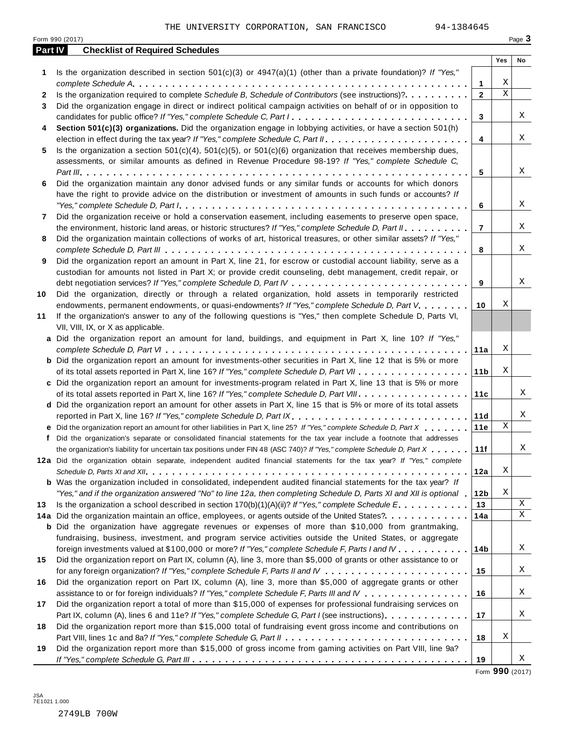THE UNIVERSITY CORPORATION, SAN FRANCISCO 94-1384645

|         | Form 990 (2017)                                                                                                                                                                                                                                                                                                                                                                               |                 |             | Page 3 |
|---------|-----------------------------------------------------------------------------------------------------------------------------------------------------------------------------------------------------------------------------------------------------------------------------------------------------------------------------------------------------------------------------------------------|-----------------|-------------|--------|
| Part IV | <b>Checklist of Required Schedules</b>                                                                                                                                                                                                                                                                                                                                                        |                 |             |        |
|         |                                                                                                                                                                                                                                                                                                                                                                                               |                 | Yes         | No     |
| 1.      | Is the organization described in section $501(c)(3)$ or $4947(a)(1)$ (other than a private foundation)? If "Yes,"                                                                                                                                                                                                                                                                             |                 | Χ           |        |
|         |                                                                                                                                                                                                                                                                                                                                                                                               | 1               | $\mathbf X$ |        |
| 2       | Is the organization required to complete Schedule B, Schedule of Contributors (see instructions)?.                                                                                                                                                                                                                                                                                            | $\overline{2}$  |             |        |
| 3       | Did the organization engage in direct or indirect political campaign activities on behalf of or in opposition to                                                                                                                                                                                                                                                                              |                 |             | Χ      |
|         | candidates for public office? If "Yes," complete Schedule C, Part I.                                                                                                                                                                                                                                                                                                                          | 3               |             |        |
| 4       | Section 501(c)(3) organizations. Did the organization engage in lobbying activities, or have a section 501(h)                                                                                                                                                                                                                                                                                 | $\overline{4}$  |             | Χ      |
|         |                                                                                                                                                                                                                                                                                                                                                                                               |                 |             |        |
| 5       | Is the organization a section $501(c)(4)$ , $501(c)(5)$ , or $501(c)(6)$ organization that receives membership dues,                                                                                                                                                                                                                                                                          |                 |             |        |
|         | assessments, or similar amounts as defined in Revenue Procedure 98-19? If "Yes," complete Schedule C,                                                                                                                                                                                                                                                                                         | 5               |             | Χ      |
|         |                                                                                                                                                                                                                                                                                                                                                                                               |                 |             |        |
| 6       | Did the organization maintain any donor advised funds or any similar funds or accounts for which donors                                                                                                                                                                                                                                                                                       |                 |             |        |
|         | have the right to provide advice on the distribution or investment of amounts in such funds or accounts? If                                                                                                                                                                                                                                                                                   |                 |             | Χ      |
|         | "Yes," complete Schedule D, Part $l_1, \ldots, l_k, \ldots, l_k, \ldots, l_k, \ldots, l_k, \ldots, l_k, \ldots, l_k, \ldots, l_k, \ldots, l_k, \ldots, l_k, \ldots, l_k, \ldots, l_k, \ldots, l_k, \ldots, l_k, \ldots, l_k, \ldots, l_k, \ldots, l_k, \ldots, l_k, \ldots, l_k, \ldots, l_k, \ldots, l_k, \ldots, l_k, \ldots, l_k, \ldots, l_k, \ldots, l_k, \ldots, l_k, \ldots, l_k, \ld$ | 6               |             |        |
| 7       | Did the organization receive or hold a conservation easement, including easements to preserve open space,                                                                                                                                                                                                                                                                                     |                 |             |        |
|         | the environment, historic land areas, or historic structures? If "Yes," complete Schedule D, Part II.                                                                                                                                                                                                                                                                                         | $\overline{7}$  |             | Χ      |
| 8       | Did the organization maintain collections of works of art, historical treasures, or other similar assets? If "Yes,"                                                                                                                                                                                                                                                                           |                 |             |        |
|         |                                                                                                                                                                                                                                                                                                                                                                                               | 8               |             | Χ      |
| 9       | Did the organization report an amount in Part X, line 21, for escrow or custodial account liability, serve as a                                                                                                                                                                                                                                                                               |                 |             |        |
|         | custodian for amounts not listed in Part X; or provide credit counseling, debt management, credit repair, or                                                                                                                                                                                                                                                                                  |                 |             |        |
|         |                                                                                                                                                                                                                                                                                                                                                                                               | 9               |             | Χ      |
| 10      | Did the organization, directly or through a related organization, hold assets in temporarily restricted                                                                                                                                                                                                                                                                                       |                 |             |        |
|         | endowments, permanent endowments, or quasi-endowments? If "Yes," complete Schedule D, Part V.                                                                                                                                                                                                                                                                                                 | 10              | Χ           |        |
| 11      | If the organization's answer to any of the following questions is "Yes," then complete Schedule D, Parts VI,                                                                                                                                                                                                                                                                                  |                 |             |        |
|         | VII, VIII, IX, or X as applicable.                                                                                                                                                                                                                                                                                                                                                            |                 |             |        |
|         | a Did the organization report an amount for land, buildings, and equipment in Part X, line 10? If "Yes,"                                                                                                                                                                                                                                                                                      |                 | Χ           |        |
|         |                                                                                                                                                                                                                                                                                                                                                                                               | 11a             |             |        |
|         | <b>b</b> Did the organization report an amount for investments-other securities in Part X, line 12 that is 5% or more                                                                                                                                                                                                                                                                         | 11 <sub>b</sub> | Χ           |        |
|         | c Did the organization report an amount for investments-program related in Part X, line 13 that is 5% or more                                                                                                                                                                                                                                                                                 |                 |             |        |
|         |                                                                                                                                                                                                                                                                                                                                                                                               | 11c             |             | Χ      |
|         | d Did the organization report an amount for other assets in Part X, line 15 that is 5% or more of its total assets                                                                                                                                                                                                                                                                            |                 |             |        |
|         | reported in Part X, line 16? If "Yes," complete Schedule D, Part IX.                                                                                                                                                                                                                                                                                                                          |                 |             | Χ      |
|         | e Did the organization report an amount for other liabilities in Part X, line 25? If "Yes," complete Schedule D, Part X                                                                                                                                                                                                                                                                       | 11d<br>11e      | $\mathbf X$ |        |
|         |                                                                                                                                                                                                                                                                                                                                                                                               |                 |             |        |
|         | f Did the organization's separate or consolidated financial statements for the tax year include a footnote that addresses                                                                                                                                                                                                                                                                     | 11f             |             | Χ      |
|         | the organization's liability for uncertain tax positions under FIN 48 (ASC 740)? If "Yes," complete Schedule D, Part X                                                                                                                                                                                                                                                                        |                 |             |        |
|         | 12a Did the organization obtain separate, independent audited financial statements for the tax year? If "Yes," complete                                                                                                                                                                                                                                                                       | 12a             | Χ           |        |
|         | <b>b</b> Was the organization included in consolidated, independent audited financial statements for the tax year? If                                                                                                                                                                                                                                                                         |                 |             |        |
|         | "Yes," and if the organization answered "No" to line 12a, then completing Schedule D, Parts XI and XII is optional 1                                                                                                                                                                                                                                                                          | 12 <sub>b</sub> | Χ           |        |
| 13      | Is the organization a school described in section 170(b)(1)(A)(ii)? If "Yes," complete Schedule E.                                                                                                                                                                                                                                                                                            | 13              |             | X      |
|         | 14a Did the organization maintain an office, employees, or agents outside of the United States?.                                                                                                                                                                                                                                                                                              | 14a             |             | X      |
|         | <b>b</b> Did the organization have aggregate revenues or expenses of more than \$10,000 from grantmaking,                                                                                                                                                                                                                                                                                     |                 |             |        |
|         | fundraising, business, investment, and program service activities outside the United States, or aggregate                                                                                                                                                                                                                                                                                     |                 |             |        |
|         | foreign investments valued at \$100,000 or more? If "Yes," complete Schedule F, Parts I and IV                                                                                                                                                                                                                                                                                                | 14 <sub>b</sub> |             | Χ      |
| 15      | Did the organization report on Part IX, column (A), line 3, more than \$5,000 of grants or other assistance to or                                                                                                                                                                                                                                                                             |                 |             |        |
|         |                                                                                                                                                                                                                                                                                                                                                                                               | 15              |             | Χ      |
| 16      | Did the organization report on Part IX, column (A), line 3, more than \$5,000 of aggregate grants or other                                                                                                                                                                                                                                                                                    |                 |             |        |
|         |                                                                                                                                                                                                                                                                                                                                                                                               |                 |             | Χ      |
|         | assistance to or for foreign individuals? If "Yes," complete Schedule F, Parts III and IV                                                                                                                                                                                                                                                                                                     | 16              |             |        |
| 17      | Did the organization report a total of more than \$15,000 of expenses for professional fundraising services on                                                                                                                                                                                                                                                                                | 17              |             | Χ      |
|         | Part IX, column (A), lines 6 and 11e? If "Yes," complete Schedule G, Part I (see instructions)<br>Did the organization report more than \$15,000 total of fundraising event gross income and contributions on                                                                                                                                                                                 |                 |             |        |
| 18      |                                                                                                                                                                                                                                                                                                                                                                                               | 18              | Χ           |        |
| 19      | Did the organization report more than \$15,000 of gross income from gaming activities on Part VIII, line 9a?                                                                                                                                                                                                                                                                                  |                 |             |        |
|         |                                                                                                                                                                                                                                                                                                                                                                                               | 19              |             | Χ      |
|         |                                                                                                                                                                                                                                                                                                                                                                                               |                 |             |        |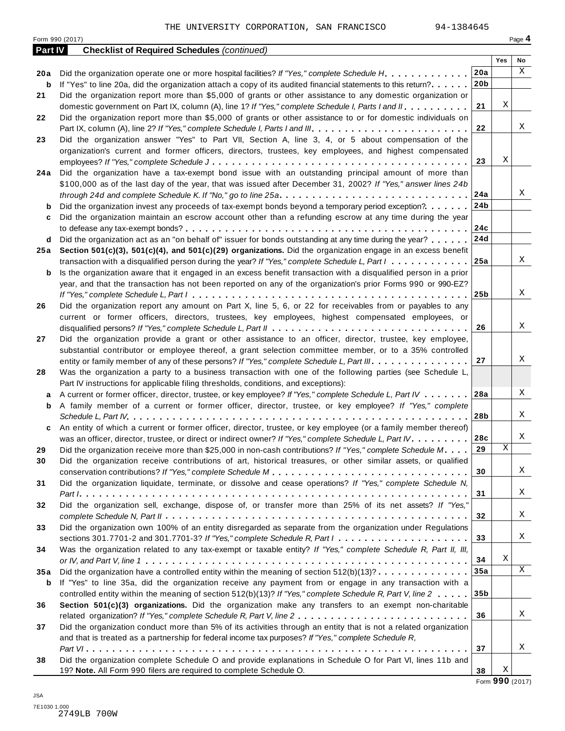|         | Form 990 (2017)                                                                                                                              |                 |     | Page 4 |
|---------|----------------------------------------------------------------------------------------------------------------------------------------------|-----------------|-----|--------|
| Part IV | <b>Checklist of Required Schedules (continued)</b>                                                                                           |                 |     |        |
|         |                                                                                                                                              |                 | Yes | No     |
| 20 a    | Did the organization operate one or more hospital facilities? If "Yes," complete Schedule H.                                                 | 20a             |     | X      |
| b       | If "Yes" to line 20a, did the organization attach a copy of its audited financial statements to this return?                                 | 20b             |     |        |
| 21      | Did the organization report more than \$5,000 of grants or other assistance to any domestic organization or                                  |                 |     |        |
|         | domestic government on Part IX, column (A), line 1? If "Yes," complete Schedule I, Parts I and II.                                           | 21              | Χ   |        |
| 22      | Did the organization report more than \$5,000 of grants or other assistance to or for domestic individuals on                                |                 |     |        |
|         | Part IX, column (A), line 2? If "Yes," complete Schedule I, Parts I and III.                                                                 | 22              |     | Χ      |
| 23      | Did the organization answer "Yes" to Part VII, Section A, line 3, 4, or 5 about compensation of the                                          |                 |     |        |
|         | organization's current and former officers, directors, trustees, key employees, and highest compensated                                      |                 |     |        |
|         |                                                                                                                                              | 23              | Χ   |        |
| 24 a    | Did the organization have a tax-exempt bond issue with an outstanding principal amount of more than                                          |                 |     |        |
|         | \$100,000 as of the last day of the year, that was issued after December 31, 2002? If "Yes," answer lines 24b                                |                 |     | Χ      |
|         | through 24d and complete Schedule K. If "No," go to line 25a. $\ldots \ldots \ldots \ldots \ldots \ldots \ldots \ldots \ldots \ldots \ldots$ | 24a             |     |        |
| b       | Did the organization invest any proceeds of tax-exempt bonds beyond a temporary period exception?                                            | 24b             |     |        |
| c       | Did the organization maintain an escrow account other than a refunding escrow at any time during the year                                    |                 |     |        |
|         |                                                                                                                                              | 24с             |     |        |
| d       | Did the organization act as an "on behalf of" issuer for bonds outstanding at any time during the year?                                      | 24d             |     |        |
|         | 25a Section 501(c)(3), 501(c)(4), and 501(c)(29) organizations. Did the organization engage in an excess benefit                             |                 |     | Χ      |
|         | transaction with a disqualified person during the year? If "Yes," complete Schedule L, Part $1, \ldots, \ldots, \ldots$                      | 25a             |     |        |
| b       | Is the organization aware that it engaged in an excess benefit transaction with a disqualified person in a prior                             |                 |     |        |
|         | year, and that the transaction has not been reported on any of the organization's prior Forms 990 or 990-EZ?                                 | 25 <sub>b</sub> |     | Χ      |
|         | Did the organization report any amount on Part X, line 5, 6, or 22 for receivables from or payables to any                                   |                 |     |        |
| 26      | current or former officers, directors, trustees, key employees, highest compensated employees, or                                            |                 |     |        |
|         |                                                                                                                                              | 26              |     | Χ      |
| 27      | Did the organization provide a grant or other assistance to an officer, director, trustee, key employee,                                     |                 |     |        |
|         | substantial contributor or employee thereof, a grant selection committee member, or to a 35% controlled                                      |                 |     |        |
|         | entity or family member of any of these persons? If "Yes," complete Schedule L, Part III.                                                    | 27              |     | Χ      |
| 28      | Was the organization a party to a business transaction with one of the following parties (see Schedule L,                                    |                 |     |        |
|         | Part IV instructions for applicable filing thresholds, conditions, and exceptions):                                                          |                 |     |        |
| a       | A current or former officer, director, trustee, or key employee? If "Yes," complete Schedule L, Part IV                                      | 28a             |     | Χ      |
| b       | A family member of a current or former officer, director, trustee, or key employee? If "Yes," complete                                       |                 |     |        |
|         |                                                                                                                                              | 28b             |     | Χ      |
| C       | An entity of which a current or former officer, director, trustee, or key employee (or a family member thereof)                              |                 |     |        |
|         | was an officer, director, trustee, or direct or indirect owner? If "Yes," complete Schedule L, Part IV.                                      | 28c             |     | Χ      |
| 29      | Did the organization receive more than \$25,000 in non-cash contributions? If "Yes," complete Schedule M                                     | 29              | Χ   |        |
| 30      | Did the organization receive contributions of art, historical treasures, or other similar assets, or qualified                               |                 |     |        |
|         |                                                                                                                                              | 30              |     | Χ      |
| 31      | Did the organization liquidate, terminate, or dissolve and cease operations? If "Yes," complete Schedule N,                                  |                 |     |        |
|         |                                                                                                                                              | 31              |     | Χ      |
| 32      | Did the organization sell, exchange, dispose of, or transfer more than 25% of its net assets? If "Yes,"                                      |                 |     |        |
|         |                                                                                                                                              | 32              |     | Χ      |
| 33      | Did the organization own 100% of an entity disregarded as separate from the organization under Regulations                                   |                 |     |        |
|         | sections 301.7701-2 and 301.7701-3? If "Yes," complete Schedule R, Part $1, \ldots, \ldots, \ldots, \ldots, \ldots, \ldots$                  | 33              |     | Χ      |
| 34      | Was the organization related to any tax-exempt or taxable entity? If "Yes," complete Schedule R, Part II, III,                               |                 |     |        |
|         |                                                                                                                                              | 34              | Χ   |        |
| 35a     | Did the organization have a controlled entity within the meaning of section $512(b)(13)? \ldots \ldots \ldots \ldots$                        | 35a             |     | X      |
| b       | If "Yes" to line 35a, did the organization receive any payment from or engage in any transaction with a                                      |                 |     |        |
|         | controlled entity within the meaning of section 512(b)(13)? If "Yes," complete Schedule R, Part V, line 2                                    | 35 <sub>b</sub> |     |        |
| 36      | Section 501(c)(3) organizations. Did the organization make any transfers to an exempt non-charitable                                         |                 |     |        |
|         |                                                                                                                                              | 36              |     | Χ      |
| 37      | Did the organization conduct more than 5% of its activities through an entity that is not a related organization                             |                 |     |        |
|         | and that is treated as a partnership for federal income tax purposes? If "Yes," complete Schedule R,                                         |                 |     |        |
|         |                                                                                                                                              | 37              |     | Χ      |
| 38      | Did the organization complete Schedule O and provide explanations in Schedule O for Part VI, lines 11b and                                   |                 |     |        |
|         | 19? Note. All Form 990 filers are required to complete Schedule O.                                                                           | 38              | Χ   |        |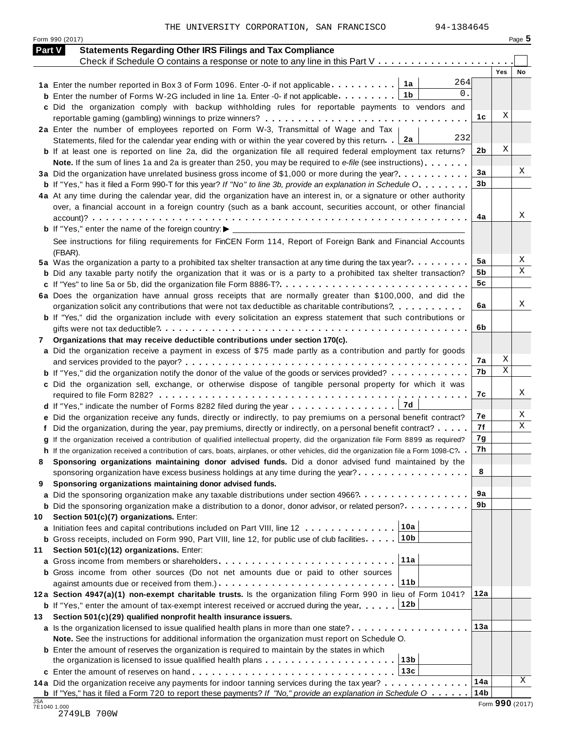Form <sup>990</sup> (2017) Page **5** THE UNIVERSITY CORPORATION, SAN FRANCISCO 94-1384645

| Part V | <b>Statements Regarding Other IRS Filings and Tax Compliance</b>                                                                        |                 |                 |     |
|--------|-----------------------------------------------------------------------------------------------------------------------------------------|-----------------|-----------------|-----|
|        | Check if Schedule O contains a response or note to any line in this Part $V_1, \ldots, V_k, \ldots, V_k, \ldots$                        |                 | Yes             | No. |
|        | 264<br>1a                                                                                                                               |                 |                 |     |
|        | 0.<br>1 b<br><b>b</b> Enter the number of Forms W-2G included in line 1a. Enter -0- if not applicable.                                  |                 |                 |     |
|        | c Did the organization comply with backup withholding rules for reportable payments to vendors and                                      |                 |                 |     |
|        | reportable gaming (gambling) winnings to prize winners?                                                                                 | 1с              | Χ               |     |
|        | 2a Enter the number of employees reported on Form W-3, Transmittal of Wage and Tax                                                      |                 |                 |     |
|        | 232<br>2a<br>Statements, filed for the calendar year ending with or within the year covered by this return.                             |                 |                 |     |
|        | <b>b</b> If at least one is reported on line 2a, did the organization file all required federal employment tax returns?                 | 2 <sub>b</sub>  | Χ               |     |
|        | Note. If the sum of lines 1a and 2a is greater than 250, you may be required to e-file (see instructions)                               |                 |                 |     |
|        | 3a Did the organization have unrelated business gross income of \$1,000 or more during the year?                                        | 3a              |                 | Χ   |
|        | <b>b</b> If "Yes," has it filed a Form 990-T for this year? If "No" to line 3b, provide an explanation in Schedule O                    | 3 <sub>b</sub>  |                 |     |
|        | 4a At any time during the calendar year, did the organization have an interest in, or a signature or other authority                    |                 |                 |     |
|        | over, a financial account in a foreign country (such as a bank account, securities account, or other financial                          |                 |                 |     |
|        |                                                                                                                                         | 4a              |                 | Χ   |
|        | <b>b</b> If "Yes," enter the name of the foreign country: $\blacktriangleright$ _____________________                                   |                 |                 |     |
|        | See instructions for filing requirements for FinCEN Form 114, Report of Foreign Bank and Financial Accounts                             |                 |                 |     |
|        | (FBAR).                                                                                                                                 |                 |                 |     |
|        | 5a Was the organization a party to a prohibited tax shelter transaction at any time during the tax year? $\dots \dots$                  | 5a              |                 | X   |
|        | <b>b</b> Did any taxable party notify the organization that it was or is a party to a prohibited tax shelter transaction?               | 5b              |                 | Χ   |
|        | c If "Yes" to line 5a or 5b, did the organization file Form 8886-T?                                                                     | 5 <sub>c</sub>  |                 |     |
|        | 6a Does the organization have annual gross receipts that are normally greater than \$100,000, and did the                               |                 |                 |     |
|        | organization solicit any contributions that were not tax deductible as charitable contributions?                                        | 6a              |                 | X   |
|        | <b>b</b> If "Yes," did the organization include with every solicitation an express statement that such contributions or                 |                 |                 |     |
|        |                                                                                                                                         | 6b              |                 |     |
| 7      | Organizations that may receive deductible contributions under section 170(c).                                                           |                 |                 |     |
|        | a Did the organization receive a payment in excess of \$75 made partly as a contribution and partly for goods                           |                 |                 |     |
|        |                                                                                                                                         | 7а              | Χ               |     |
|        | <b>b</b> If "Yes," did the organization notify the donor of the value of the goods or services provided?                                | 7b              | X               |     |
|        | c Did the organization sell, exchange, or otherwise dispose of tangible personal property for which it was                              |                 |                 |     |
|        |                                                                                                                                         | 7c              |                 | Χ   |
|        |                                                                                                                                         |                 |                 |     |
|        | e Did the organization receive any funds, directly or indirectly, to pay premiums on a personal benefit contract?                       | 7е              |                 | X   |
|        | f Did the organization, during the year, pay premiums, directly or indirectly, on a personal benefit contract?                          | 7f              |                 | Χ   |
|        | g If the organization received a contribution of qualified intellectual property, did the organization file Form 8899 as required?      | 7g              |                 |     |
|        | h If the organization received a contribution of cars, boats, airplanes, or other vehicles, did the organization file a Form 1098-C?. . | 7h              |                 |     |
|        | Sponsoring organizations maintaining donor advised funds. Did a donor advised fund maintained by the                                    |                 |                 |     |
|        | sponsoring organization have excess business holdings at any time during the year?                                                      | 8               |                 |     |
| 9      | Sponsoring organizations maintaining donor advised funds.                                                                               |                 |                 |     |
| a      | Did the sponsoring organization make any taxable distributions under section 4966?                                                      | 9а              |                 |     |
|        | <b>b</b> Did the sponsoring organization make a distribution to a donor, donor advisor, or related person?                              | 9b              |                 |     |
| 10     | Section 501(c)(7) organizations. Enter:                                                                                                 |                 |                 |     |
|        | 10a<br>a Initiation fees and capital contributions included on Part VIII, line 12                                                       |                 |                 |     |
|        | 10 <sub>b</sub><br><b>b</b> Gross receipts, included on Form 990, Part VIII, line 12, for public use of club facilities.                |                 |                 |     |
| 11     | Section 501(c)(12) organizations. Enter:                                                                                                |                 |                 |     |
|        | 11a<br><b>a</b> Gross income from members or shareholders                                                                               |                 |                 |     |
|        | <b>b</b> Gross income from other sources (Do not net amounts due or paid to other sources                                               |                 |                 |     |
|        | 11b                                                                                                                                     |                 |                 |     |
|        | 12a Section 4947(a)(1) non-exempt charitable trusts. Is the organization filing Form 990 in lieu of Form 1041?                          | 12a             |                 |     |
|        | 12b<br><b>b</b> If "Yes," enter the amount of tax-exempt interest received or accrued during the year                                   |                 |                 |     |
| 13     | Section 501(c)(29) qualified nonprofit health insurance issuers.                                                                        |                 |                 |     |
|        | a Is the organization licensed to issue qualified health plans in more than one state?                                                  | 13a             |                 |     |
|        | Note. See the instructions for additional information the organization must report on Schedule O.                                       |                 |                 |     |
|        | <b>b</b> Enter the amount of reserves the organization is required to maintain by the states in which                                   |                 |                 |     |
|        | 13 <sub>b</sub>                                                                                                                         |                 |                 |     |
|        | 13c                                                                                                                                     |                 |                 |     |
|        | 14a Did the organization receive any payments for indoor tanning services during the tax year?                                          | 14a             |                 | Χ   |
|        | <b>b</b> If "Yes," has it filed a Form 720 to report these payments? If "No," provide an explanation in Schedule $0$                    | 14 <sub>b</sub> |                 |     |
| JSA    | 7E1040 1.000                                                                                                                            |                 | Form 990 (2017) |     |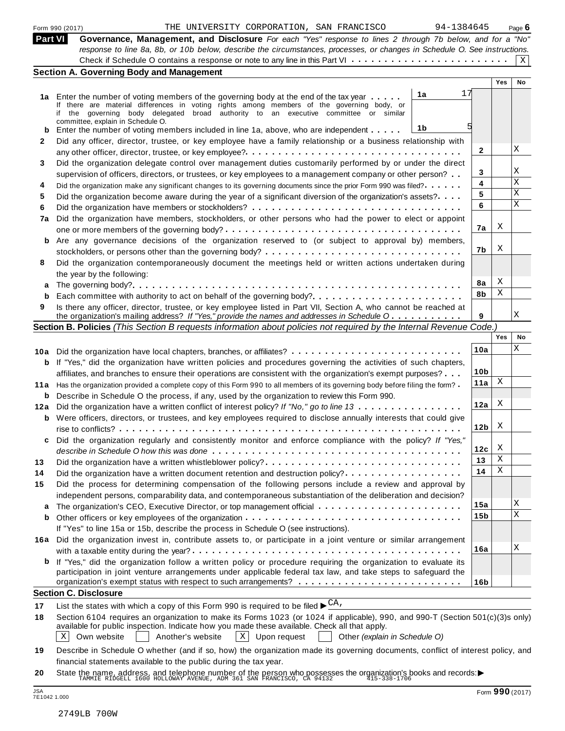|          | THE UNIVERSITY CORPORATION, SAN FRANCISCO<br>94-1384645<br>Form 990 (2017)                                                                                                                                         |                 |            | Page $6$  |
|----------|--------------------------------------------------------------------------------------------------------------------------------------------------------------------------------------------------------------------|-----------------|------------|-----------|
|          | Part VI<br>Governance, Management, and Disclosure For each "Yes" response to lines 2 through 7b below, and for a "No"                                                                                              |                 |            |           |
|          | response to line 8a, 8b, or 10b below, describe the circumstances, processes, or changes in Schedule O. See instructions.                                                                                          |                 |            |           |
|          |                                                                                                                                                                                                                    |                 |            | Χ         |
|          | <b>Section A. Governing Body and Management</b>                                                                                                                                                                    |                 |            |           |
|          |                                                                                                                                                                                                                    |                 | <b>Yes</b> | <b>No</b> |
|          | 17<br>1a<br>1a Enter the number of voting members of the governing body at the end of the tax year                                                                                                                 |                 |            |           |
|          | If there are material differences in voting rights among members of the governing body, or<br>if the governing body delegated broad authority to an executive committee or similar                                 |                 |            |           |
|          | committee, explain in Schedule O.                                                                                                                                                                                  |                 |            |           |
|          | 1 <sub>b</sub><br>Enter the number of voting members included in line 1a, above, who are independent                                                                                                               |                 |            |           |
| 2        | Did any officer, director, trustee, or key employee have a family relationship or a business relationship with                                                                                                     |                 |            |           |
|          |                                                                                                                                                                                                                    | 2               |            | Χ         |
| 3        | Did the organization delegate control over management duties customarily performed by or under the direct                                                                                                          |                 |            |           |
|          | supervision of officers, directors, or trustees, or key employees to a management company or other person?                                                                                                         | 3               |            | Χ         |
| 4        | Did the organization make any significant changes to its governing documents since the prior Form 990 was filed?.                                                                                                  | 4               |            | Χ         |
| 5        | Did the organization become aware during the year of a significant diversion of the organization's assets?                                                                                                         | 5               |            | Χ<br>X    |
| 6        |                                                                                                                                                                                                                    | 6               |            |           |
| 7a       | Did the organization have members, stockholders, or other persons who had the power to elect or appoint                                                                                                            |                 |            |           |
|          |                                                                                                                                                                                                                    | 7a              | X          |           |
| b        | Are any governance decisions of the organization reserved to (or subject to approval by) members,                                                                                                                  |                 | X          |           |
|          |                                                                                                                                                                                                                    | 7b              |            |           |
| 8        | Did the organization contemporaneously document the meetings held or written actions undertaken during                                                                                                             |                 |            |           |
|          | the year by the following:                                                                                                                                                                                         |                 | Χ          |           |
|          |                                                                                                                                                                                                                    | 8a              | Χ          |           |
|          | Each committee with authority to act on behalf of the governing body?                                                                                                                                              | 8b              |            |           |
| 9        | Is there any officer, director, trustee, or key employee listed in Part VII, Section A, who cannot be reached at                                                                                                   | 9               |            | Χ         |
|          | the organization's mailing address? If "Yes," provide the names and addresses in Schedule O<br>Section B. Policies (This Section B requests information about policies not required by the Internal Revenue Code.) |                 |            |           |
|          |                                                                                                                                                                                                                    |                 | Yes        | No        |
|          |                                                                                                                                                                                                                    | 10a             |            | Χ         |
|          | 10a Did the organization have local chapters, branches, or affiliates?                                                                                                                                             |                 |            |           |
|          | <b>b</b> If "Yes," did the organization have written policies and procedures governing the activities of such chapters,                                                                                            | 10 <sub>b</sub> |            |           |
|          | affiliates, and branches to ensure their operations are consistent with the organization's exempt purposes?                                                                                                        | 11a             | X          |           |
| 11 a     | Has the organization provided a complete copy of this Form 990 to all members of its governing body before filing the form?                                                                                        |                 |            |           |
| b        | Describe in Schedule O the process, if any, used by the organization to review this Form 990.                                                                                                                      | 12a             | X          |           |
| 12a      | Did the organization have a written conflict of interest policy? If "No," go to line 13                                                                                                                            |                 |            |           |
|          | <b>b</b> Were officers, directors, or trustees, and key employees required to disclose annually interests that could give                                                                                          | 12 <sub>b</sub> | X          |           |
|          |                                                                                                                                                                                                                    |                 |            |           |
|          | Did the organization regularly and consistently monitor and enforce compliance with the policy? If "Yes,"                                                                                                          | 12c             | X          |           |
| 13       | Did the organization have a written whistleblower policy?                                                                                                                                                          | 13              | Χ          |           |
|          | Did the organization have a written document retention and destruction policy?                                                                                                                                     | 14              | Χ          |           |
| 14<br>15 | Did the process for determining compensation of the following persons include a review and approval by                                                                                                             |                 |            |           |
|          | independent persons, comparability data, and contemporaneous substantiation of the deliberation and decision?                                                                                                      |                 |            |           |
|          |                                                                                                                                                                                                                    | 15a             |            | Χ         |
|          |                                                                                                                                                                                                                    | 15b             |            | X         |
| b        | If "Yes" to line 15a or 15b, describe the process in Schedule O (see instructions).                                                                                                                                |                 |            |           |
| 16а      | Did the organization invest in, contribute assets to, or participate in a joint venture or similar arrangement                                                                                                     |                 |            |           |
|          |                                                                                                                                                                                                                    | 16a             |            | Χ         |
|          | <b>b</b> If "Yes," did the organization follow a written policy or procedure requiring the organization to evaluate its                                                                                            |                 |            |           |
|          | participation in joint venture arrangements under applicable federal tax law, and take steps to safeguard the                                                                                                      |                 |            |           |
|          |                                                                                                                                                                                                                    | 16 <sub>b</sub> |            |           |
|          | <b>Section C. Disclosure</b>                                                                                                                                                                                       |                 |            |           |
| 17       | List the states with which a copy of this Form 990 is required to be filed $\blacktriangleright^{\text{CA}}$ .                                                                                                     |                 |            |           |
|          | Section 6104 requires an organization to make its Forms 1023 (or 1024 if applicable), 990, and 990-T (Section 501(c)(3)s only)                                                                                     |                 |            |           |
| 18       |                                                                                                                                                                                                                    |                 |            |           |
|          | available for public inspection. Indicate how you made these available. Check all that apply.<br>Χ<br>$\mathbf{x}$<br>Own website<br>Another's website<br>Upon request<br>Other (explain in Schedule O)            |                 |            |           |

| Describe in Schedule O whether (and if so, how) the organization made its governing documents, conflict of interest policy, and |
|---------------------------------------------------------------------------------------------------------------------------------|
| financial statements available to the public during the tax year.                                                               |

**20** nnancial statements available to the public during the tax year.<br>State the name, address, and telephone number of the person who possesses the organization's books and records:<br>TAMMIE RIDGELL 1600 HOLLOWAY AVENUE, ADM 361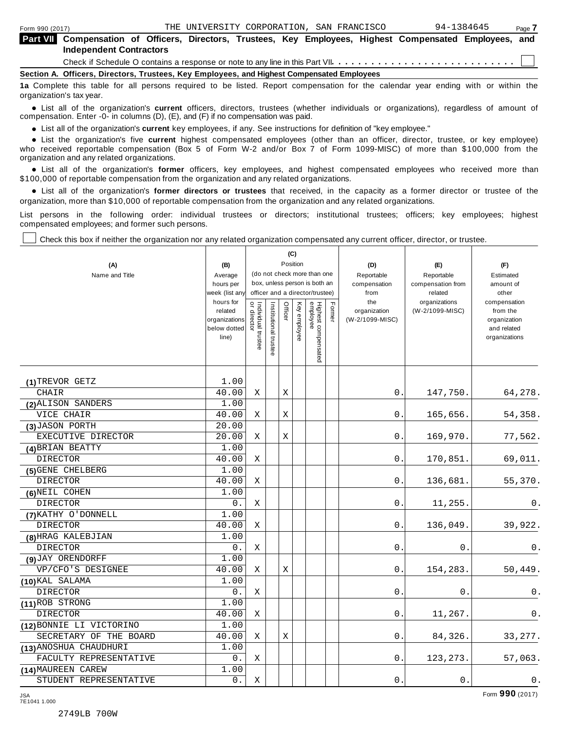|                          | <b>Part VII</b> Compensation of Officers, Directors, Trustees, Key Employees, Highest Compensated Employees, and<br><b>Independent Contractors</b> |  |
|--------------------------|----------------------------------------------------------------------------------------------------------------------------------------------------|--|
|                          |                                                                                                                                                    |  |
|                          | Section A. Officers, Directors, Trustees, Key Employees, and Highest Compensated Employees                                                         |  |
| organization's tax year. | 1a Complete this table for all persons required to be listed. Report compensation for the calendar year ending with or within the                  |  |

anization's lax year.<br>● List all of the organization's **current** officers, directors, trustees (whether individuals or organizations), regardless of amount of<br>nnensation Enter -0- in columns (D) (E) and (E) if no compensa compensation. Enter -0- in columns (D), (E), and (F) if no compensation was paid.

■ List all of the organization's **current** key employees, if any. See instructions for definition of "key employee."<br>■ List the experientials five event highert expressed employees (other than an efficer director of

**Example in the organization's current** key employees, if any. See instructions for definition of key employee.<br>• List the organization's five **current** highest compensated employees (other than an officer, director, trust who received reportable compensation (Box 5 of Form W-2 and/or Box 7 of Form 1099-MISC) of more than \$100,000 from the

organization and any related organizations.<br>• List all of the organization's **former** officers, key employees, and highest compensated employees who received more than<br>\$1.00.000 of reportable componention from the erganiza \$100,000 of reportable compensation from the organization and any related organizations.

% List all of the organization's **former directors or trustees** that received, in the capacity as a former director or trustee of the organization, more than \$10,000 of reportable compensation from the organization and any related organizations.

List persons in the following order: individual trustees or directors; institutional trustees; officers; key employees; highest compensated employees; and former such persons.

Check this box if neither the organization nor any related organization compensated any current officer, director, or trustee.

| (A)<br>Name and Title    | (B)<br>Average<br>hours per<br>week (list any<br>hours for<br>related<br>organizations<br>below dotted | Individual trustee<br>  or director | Institutional trustee | (C)<br>Position<br>Officer | Key employee | (do not check more than one<br>box, unless person is both an<br>officer and a director/trustee) | Former | (D)<br>Reportable<br>compensation<br>from<br>the<br>organization<br>(W-2/1099-MISC) | (E)<br>Reportable<br>compensation from<br>related<br>organizations<br>(W-2/1099-MISC) | (F)<br>Estimated<br>amount of<br>other<br>compensation<br>from the<br>organization<br>and related |
|--------------------------|--------------------------------------------------------------------------------------------------------|-------------------------------------|-----------------------|----------------------------|--------------|-------------------------------------------------------------------------------------------------|--------|-------------------------------------------------------------------------------------|---------------------------------------------------------------------------------------|---------------------------------------------------------------------------------------------------|
|                          | line)                                                                                                  |                                     |                       |                            |              | Highest compensated<br>employee                                                                 |        |                                                                                     |                                                                                       | organizations                                                                                     |
| (1)TREVOR GETZ           | 1.00                                                                                                   |                                     |                       |                            |              |                                                                                                 |        |                                                                                     |                                                                                       |                                                                                                   |
| CHAIR                    | 40.00                                                                                                  | Χ                                   |                       | Χ                          |              |                                                                                                 |        | 0.                                                                                  | 147,750.                                                                              | 64,278.                                                                                           |
| (2) ALISON SANDERS       | 1.00                                                                                                   |                                     |                       |                            |              |                                                                                                 |        |                                                                                     |                                                                                       |                                                                                                   |
| VICE CHAIR               | 40.00                                                                                                  | X                                   |                       | Χ                          |              |                                                                                                 |        | 0.                                                                                  | 165,656.                                                                              | 54,358.                                                                                           |
| (3) JASON PORTH          | 20.00                                                                                                  |                                     |                       |                            |              |                                                                                                 |        |                                                                                     |                                                                                       |                                                                                                   |
| EXECUTIVE DIRECTOR       | 20.00                                                                                                  | X                                   |                       | Χ                          |              |                                                                                                 |        | 0.                                                                                  | 169,970.                                                                              | 77,562.                                                                                           |
| (4) BRIAN BEATTY         | 1.00                                                                                                   |                                     |                       |                            |              |                                                                                                 |        |                                                                                     |                                                                                       |                                                                                                   |
| DIRECTOR                 | 40.00                                                                                                  | Χ                                   |                       |                            |              |                                                                                                 |        | 0.                                                                                  | 170,851.                                                                              | 69,011.                                                                                           |
| (5) GENE CHELBERG        | 1.00                                                                                                   |                                     |                       |                            |              |                                                                                                 |        |                                                                                     |                                                                                       |                                                                                                   |
| <b>DIRECTOR</b>          | 40.00                                                                                                  | Χ                                   |                       |                            |              |                                                                                                 |        | 0.                                                                                  | 136,681.                                                                              | 55,370.                                                                                           |
| (6) NEIL COHEN           | 1.00                                                                                                   |                                     |                       |                            |              |                                                                                                 |        |                                                                                     |                                                                                       |                                                                                                   |
| <b>DIRECTOR</b>          | $0$ .                                                                                                  | Χ                                   |                       |                            |              |                                                                                                 |        | 0.                                                                                  | 11,255.                                                                               | 0.                                                                                                |
| (7) KATHY O'DONNELL      | 1.00                                                                                                   |                                     |                       |                            |              |                                                                                                 |        |                                                                                     |                                                                                       |                                                                                                   |
| <b>DIRECTOR</b>          | 40.00                                                                                                  | Χ                                   |                       |                            |              |                                                                                                 |        | $\boldsymbol{0}$ .                                                                  | 136,049.                                                                              | 39,922.                                                                                           |
| (8) HRAG KALEBJIAN       | 1.00                                                                                                   |                                     |                       |                            |              |                                                                                                 |        |                                                                                     |                                                                                       |                                                                                                   |
| <b>DIRECTOR</b>          | 0.                                                                                                     | Χ                                   |                       |                            |              |                                                                                                 |        | $\overline{0}$ .                                                                    | 0.                                                                                    | 0.                                                                                                |
| (9) JAY ORENDORFF        | 1.00                                                                                                   |                                     |                       |                            |              |                                                                                                 |        |                                                                                     |                                                                                       |                                                                                                   |
| VP/CFO'S DESIGNEE        | 40.00                                                                                                  | X                                   |                       | Χ                          |              |                                                                                                 |        | 0.                                                                                  | 154,283.                                                                              | 50,449.                                                                                           |
| (10) KAL SALAMA          | 1.00                                                                                                   |                                     |                       |                            |              |                                                                                                 |        |                                                                                     |                                                                                       |                                                                                                   |
| <b>DIRECTOR</b>          | 0.                                                                                                     | Χ                                   |                       |                            |              |                                                                                                 |        | 0.                                                                                  | $0$ .                                                                                 | 0.                                                                                                |
| (11) ROB STRONG          | 1.00                                                                                                   |                                     |                       |                            |              |                                                                                                 |        |                                                                                     |                                                                                       |                                                                                                   |
| <b>DIRECTOR</b>          | 40.00                                                                                                  | X                                   |                       |                            |              |                                                                                                 |        | 0.                                                                                  | 11,267.                                                                               | 0.                                                                                                |
| (12) BONNIE LI VICTORINO | 1.00                                                                                                   |                                     |                       |                            |              |                                                                                                 |        |                                                                                     |                                                                                       |                                                                                                   |
| SECRETARY OF THE BOARD   | 40.00                                                                                                  | X                                   |                       | X                          |              |                                                                                                 |        | 0.                                                                                  | 84,326.                                                                               | 33, 277.                                                                                          |
| (13) ANOSHUA CHAUDHURI   | 1.00                                                                                                   |                                     |                       |                            |              |                                                                                                 |        |                                                                                     |                                                                                       |                                                                                                   |
| FACULTY REPRESENTATIVE   | $0$ .                                                                                                  | X                                   |                       |                            |              |                                                                                                 |        | 0.                                                                                  | 123, 273.                                                                             | 57,063.                                                                                           |
| (14) MAUREEN CAREW       | 1.00                                                                                                   |                                     |                       |                            |              |                                                                                                 |        |                                                                                     |                                                                                       |                                                                                                   |
| STUDENT REPRESENTATIVE   | 0.                                                                                                     | X                                   |                       |                            |              |                                                                                                 |        | $0$ .                                                                               | $0$ .                                                                                 | $0$ .                                                                                             |

7E1041 1.000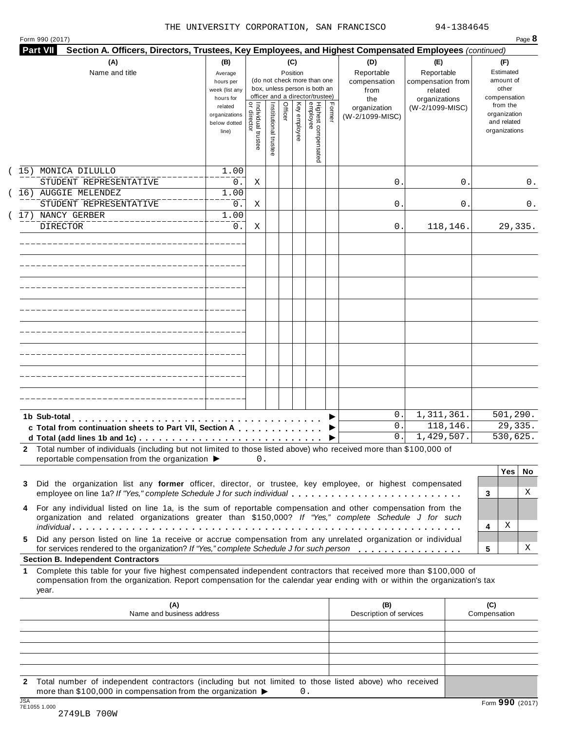|  | Form 990 (2017) |  |
|--|-----------------|--|
|  |                 |  |

| (A)<br>Name and title                                                                                                                                                                                                                                           | (B)<br>Average<br>hours per<br>week (list any<br>hours for | (C)<br>Position<br>(do not check more than one<br>box, unless person is both an<br>officer and a director/trustee) |                       |         |              |                                 | (D)<br>Reportable<br>compensation<br>from<br>the | (E)<br>Reportable<br>compensation from<br>related<br>organizations | (F)<br>Estimated<br>amount of<br>other<br>compensation |                                                          |
|-----------------------------------------------------------------------------------------------------------------------------------------------------------------------------------------------------------------------------------------------------------------|------------------------------------------------------------|--------------------------------------------------------------------------------------------------------------------|-----------------------|---------|--------------|---------------------------------|--------------------------------------------------|--------------------------------------------------------------------|--------------------------------------------------------|----------------------------------------------------------|
|                                                                                                                                                                                                                                                                 | related<br>organizations<br>below dotted<br>line)          | Individual trustee<br>  or director                                                                                | Institutional trustee | Officer | Key employee | Highest compensated<br>employee | Former                                           | organization<br>(W-2/1099-MISC)                                    | (W-2/1099-MISC)                                        | from the<br>organization<br>and related<br>organizations |
| 15) MONICA DILULLO                                                                                                                                                                                                                                              | 1.00                                                       |                                                                                                                    |                       |         |              |                                 |                                                  |                                                                    |                                                        |                                                          |
| STUDENT REPRESENTATIVE<br>16) AUGGIE MELENDEZ                                                                                                                                                                                                                   | $0$ .                                                      | Χ                                                                                                                  |                       |         |              |                                 |                                                  | 0                                                                  | 0                                                      | 0.                                                       |
| STUDENT REPRESENTATIVE                                                                                                                                                                                                                                          | 1.00<br>0.                                                 | Χ                                                                                                                  |                       |         |              |                                 |                                                  | 0                                                                  | 0                                                      | 0.                                                       |
| 17) NANCY GERBER                                                                                                                                                                                                                                                | 1.00                                                       |                                                                                                                    |                       |         |              |                                 |                                                  |                                                                    |                                                        |                                                          |
| <b>DIRECTOR</b>                                                                                                                                                                                                                                                 | 0.                                                         | Χ                                                                                                                  |                       |         |              |                                 |                                                  | 0.                                                                 | 118,146.                                               | 29,335.                                                  |
|                                                                                                                                                                                                                                                                 |                                                            |                                                                                                                    |                       |         |              |                                 |                                                  |                                                                    |                                                        |                                                          |
|                                                                                                                                                                                                                                                                 |                                                            |                                                                                                                    |                       |         |              |                                 |                                                  |                                                                    |                                                        |                                                          |
|                                                                                                                                                                                                                                                                 |                                                            |                                                                                                                    |                       |         |              |                                 |                                                  |                                                                    |                                                        |                                                          |
|                                                                                                                                                                                                                                                                 |                                                            |                                                                                                                    |                       |         |              |                                 |                                                  |                                                                    |                                                        |                                                          |
|                                                                                                                                                                                                                                                                 |                                                            |                                                                                                                    |                       |         |              |                                 |                                                  |                                                                    |                                                        |                                                          |
|                                                                                                                                                                                                                                                                 |                                                            |                                                                                                                    |                       |         |              |                                 |                                                  |                                                                    |                                                        |                                                          |
|                                                                                                                                                                                                                                                                 |                                                            |                                                                                                                    |                       |         |              |                                 |                                                  |                                                                    |                                                        |                                                          |
|                                                                                                                                                                                                                                                                 |                                                            |                                                                                                                    |                       |         |              |                                 |                                                  |                                                                    |                                                        |                                                          |
| 1b Sub-total                                                                                                                                                                                                                                                    |                                                            |                                                                                                                    |                       |         |              |                                 |                                                  | 0.                                                                 | 1,311,361.                                             | 501, 290.                                                |
| c Total from continuation sheets to Part VII, Section A                                                                                                                                                                                                         |                                                            |                                                                                                                    |                       |         |              |                                 |                                                  | 0.                                                                 | 118,146.                                               | 29,335.                                                  |
| 2 Total number of individuals (including but not limited to those listed above) who received more than \$100,000 of<br>reportable compensation from the organization ▶                                                                                          |                                                            | 0.                                                                                                                 |                       |         |              |                                 |                                                  | 0.                                                                 | 1,429,507.                                             | 530,625.                                                 |
|                                                                                                                                                                                                                                                                 |                                                            |                                                                                                                    |                       |         |              |                                 |                                                  |                                                                    |                                                        | <b>Yes</b><br>No.                                        |
| Did the organization list any former officer, director, or trustee, key employee, or highest compensated<br>3<br>employee on line 1a? If "Yes," complete Schedule J for such individual                                                                         |                                                            |                                                                                                                    |                       |         |              |                                 |                                                  |                                                                    |                                                        | X<br>3                                                   |
| For any individual listed on line 1a, is the sum of reportable compensation and other compensation from the<br>4<br>organization and related organizations greater than \$150,000? If "Yes," complete Schedule J for such                                       |                                                            |                                                                                                                    |                       |         |              |                                 |                                                  |                                                                    |                                                        | Χ<br>4                                                   |
| Did any person listed on line 1a receive or accrue compensation from any unrelated organization or individual<br>5.<br>for services rendered to the organization? If "Yes," complete Schedule J for such person                                                 |                                                            |                                                                                                                    |                       |         |              |                                 |                                                  |                                                                    |                                                        | х<br>5                                                   |
| <b>Section B. Independent Contractors</b>                                                                                                                                                                                                                       |                                                            |                                                                                                                    |                       |         |              |                                 |                                                  |                                                                    |                                                        |                                                          |
| Complete this table for your five highest compensated independent contractors that received more than \$100,000 of<br>1.<br>compensation from the organization. Report compensation for the calendar year ending with or within the organization's tax<br>year. |                                                            |                                                                                                                    |                       |         |              |                                 |                                                  |                                                                    |                                                        |                                                          |
| (A)<br>Name and business address                                                                                                                                                                                                                                |                                                            |                                                                                                                    |                       |         |              |                                 |                                                  | (B)<br>Description of services                                     |                                                        | (C)<br>Compensation                                      |
|                                                                                                                                                                                                                                                                 |                                                            |                                                                                                                    |                       |         |              |                                 |                                                  |                                                                    |                                                        |                                                          |
|                                                                                                                                                                                                                                                                 |                                                            |                                                                                                                    |                       |         |              |                                 |                                                  |                                                                    |                                                        |                                                          |
|                                                                                                                                                                                                                                                                 |                                                            |                                                                                                                    |                       |         |              |                                 |                                                  |                                                                    |                                                        |                                                          |

**2** Total number of independent contractors (including but not limited to those listed above) who received more than \$100,000 in compensation from the organization  $\triangleright$  0.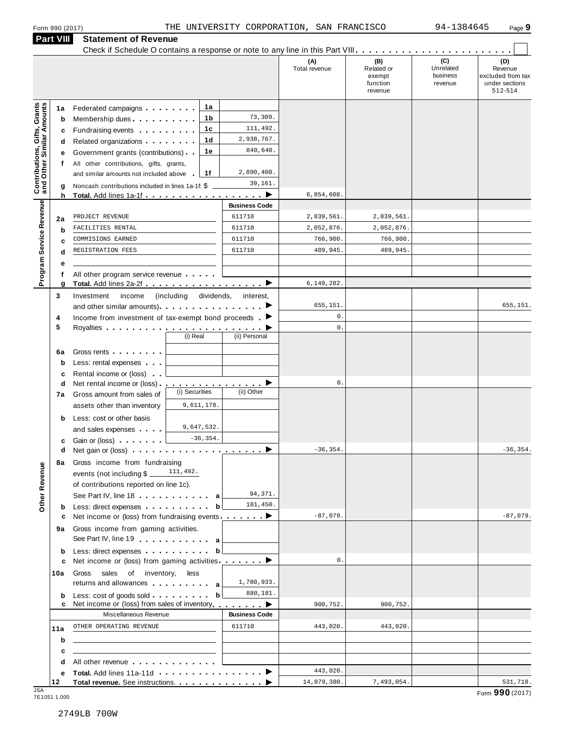|                                                                  | Part VIII   | <b>Statement of Revenue</b>                                                                                                                                                                                                                   |                       |                      |                      |                                                    |                                         |                                                                  |
|------------------------------------------------------------------|-------------|-----------------------------------------------------------------------------------------------------------------------------------------------------------------------------------------------------------------------------------------------|-----------------------|----------------------|----------------------|----------------------------------------------------|-----------------------------------------|------------------------------------------------------------------|
|                                                                  |             |                                                                                                                                                                                                                                               |                       |                      | (A)<br>Total revenue | (B)<br>Related or<br>exempt<br>function<br>revenue | (C)<br>Unrelated<br>business<br>revenue | (D)<br>Revenue<br>excluded from tax<br>under sections<br>512-514 |
|                                                                  | 1a          | Federated campaigns <b>Federated</b>                                                                                                                                                                                                          | 1a                    |                      |                      |                                                    |                                         |                                                                  |
| <b>Contributions, Gifts, Grants</b><br>and Other Similar Amounts | b           | Membership dues                                                                                                                                                                                                                               | 1b                    | 73,309.              |                      |                                                    |                                         |                                                                  |
|                                                                  | c           | Fundraising events <b>Fundraising</b>                                                                                                                                                                                                         | 1c                    | 111,492.             |                      |                                                    |                                         |                                                                  |
|                                                                  | d           | Related organizations <b>contains</b> and <b>Related</b> organizations <b>and</b> a set of the set of the set of the set of the set of the set of the set of the set of the set of the set of the set of the set of the set of the set of the | 1d                    | 2,938,767.           |                      |                                                    |                                         |                                                                  |
|                                                                  | е           | Government grants (contributions)                                                                                                                                                                                                             | 1e                    | 840,640.             |                      |                                                    |                                         |                                                                  |
|                                                                  | f           | All other contributions, gifts, grants,                                                                                                                                                                                                       |                       |                      |                      |                                                    |                                         |                                                                  |
|                                                                  |             | and similar amounts not included above                                                                                                                                                                                                        | 1f                    | 2,890,400.           |                      |                                                    |                                         |                                                                  |
|                                                                  | g           | Noncash contributions included in lines 1a-1f: \$                                                                                                                                                                                             |                       | 39,161.              |                      |                                                    |                                         |                                                                  |
|                                                                  | h           |                                                                                                                                                                                                                                               |                       |                      | 6,854,608.           |                                                    |                                         |                                                                  |
|                                                                  |             |                                                                                                                                                                                                                                               |                       | <b>Business Code</b> |                      |                                                    |                                         |                                                                  |
|                                                                  | 2a          | PROJECT REVENUE                                                                                                                                                                                                                               |                       | 611710               | 2,839,561.           | 2,839,561.                                         |                                         |                                                                  |
|                                                                  | b           | FACILITIES RENTAL                                                                                                                                                                                                                             |                       | 611710               | 2,052,876.           | 2,052,876.                                         |                                         |                                                                  |
|                                                                  | c           | COMMISIONS EARNED                                                                                                                                                                                                                             |                       | 611710               | 766,900.             | 766,900.                                           |                                         |                                                                  |
|                                                                  | d           | REGISTRATION FEES                                                                                                                                                                                                                             |                       | 611710               | 489,945.             | 489,945.                                           |                                         |                                                                  |
|                                                                  | е           |                                                                                                                                                                                                                                               |                       |                      |                      |                                                    |                                         |                                                                  |
| Program Service Revenue                                          | f           | All other program service revenue                                                                                                                                                                                                             |                       |                      | 6,149,282.           |                                                    |                                         |                                                                  |
|                                                                  | g<br>3      | Investment<br>income                                                                                                                                                                                                                          | (including dividends, |                      |                      |                                                    |                                         |                                                                  |
|                                                                  |             |                                                                                                                                                                                                                                               |                       | interest,            | 655,151.             |                                                    |                                         | 655,151.                                                         |
|                                                                  | 4           | Income from investment of tax-exempt bond proceeds $\blacktriangleright$                                                                                                                                                                      |                       |                      | 0.                   |                                                    |                                         |                                                                  |
|                                                                  | 5           |                                                                                                                                                                                                                                               |                       |                      | 0.                   |                                                    |                                         |                                                                  |
|                                                                  |             |                                                                                                                                                                                                                                               | (i) Real              | (ii) Personal        |                      |                                                    |                                         |                                                                  |
|                                                                  | 6a          | Gross rents <b>Container and Container</b>                                                                                                                                                                                                    |                       |                      |                      |                                                    |                                         |                                                                  |
|                                                                  | $\mathbf b$ | Less: rental expenses                                                                                                                                                                                                                         |                       |                      |                      |                                                    |                                         |                                                                  |
|                                                                  | c           | Rental income or (loss)                                                                                                                                                                                                                       |                       |                      |                      |                                                    |                                         |                                                                  |
|                                                                  | d           | Net rental income or (loss).                                                                                                                                                                                                                  |                       | <u>.</u> >           | 0.                   |                                                    |                                         |                                                                  |
|                                                                  | 7a          | Gross amount from sales of                                                                                                                                                                                                                    | (i) Securities        | (ii) Other           |                      |                                                    |                                         |                                                                  |
|                                                                  |             | assets other than inventory                                                                                                                                                                                                                   | 9,611,178.            |                      |                      |                                                    |                                         |                                                                  |
|                                                                  | b           | Less: cost or other basis                                                                                                                                                                                                                     |                       |                      |                      |                                                    |                                         |                                                                  |
|                                                                  |             | and sales expenses                                                                                                                                                                                                                            | 9,647,532.            |                      |                      |                                                    |                                         |                                                                  |
|                                                                  | с           | Gain or (loss)                                                                                                                                                                                                                                | $-36, 354.$           |                      |                      |                                                    |                                         |                                                                  |
|                                                                  | d           | Net gain or (loss) $\cdots$ $\cdots$ $\cdots$ $\cdots$ $\cdots$ $\cdots$                                                                                                                                                                      |                       |                      | $-36, 354.$          |                                                    |                                         | $-36, 354.$                                                      |
|                                                                  | 8a          | Gross income from fundraising                                                                                                                                                                                                                 |                       |                      |                      |                                                    |                                         |                                                                  |
|                                                                  |             | events (not including $\frac{111,492.}{2}$                                                                                                                                                                                                    |                       |                      |                      |                                                    |                                         |                                                                  |
| Other Revenue                                                    |             | of contributions reported on line 1c).                                                                                                                                                                                                        |                       |                      |                      |                                                    |                                         |                                                                  |
|                                                                  |             | See Part IV, line 18 a                                                                                                                                                                                                                        |                       | 94,371.              |                      |                                                    |                                         |                                                                  |
|                                                                  | b           | Less: direct expenses                                                                                                                                                                                                                         |                       | 181,450.<br>b        | $-87,079.$           |                                                    |                                         |                                                                  |
|                                                                  | с           | Net income or (loss) from fundraising events. $\blacksquare$                                                                                                                                                                                  |                       |                      |                      |                                                    |                                         | $-87,079.$                                                       |
|                                                                  | 9а          | Gross income from gaming activities.<br>See Part IV, line 19 a                                                                                                                                                                                |                       |                      |                      |                                                    |                                         |                                                                  |
|                                                                  |             | Less: direct expenses                                                                                                                                                                                                                         |                       | b                    |                      |                                                    |                                         |                                                                  |
|                                                                  | b<br>c      | Net income or (loss) from gaming activities. $\ldots$ .                                                                                                                                                                                       |                       |                      | 0.                   |                                                    |                                         |                                                                  |
|                                                                  | 10a         | Gross sales of inventory, less                                                                                                                                                                                                                |                       |                      |                      |                                                    |                                         |                                                                  |
|                                                                  |             | returns and allowances and allowances                                                                                                                                                                                                         |                       | 1,780,933.           |                      |                                                    |                                         |                                                                  |
|                                                                  | b           |                                                                                                                                                                                                                                               |                       | 880,181.<br>b        |                      |                                                    |                                         |                                                                  |
|                                                                  |             | Net income or (loss) from sales of inventory                                                                                                                                                                                                  |                       | . <b>.</b>           | 900,752.             | 900,752.                                           |                                         |                                                                  |
|                                                                  |             | Miscellaneous Revenue                                                                                                                                                                                                                         |                       | <b>Business Code</b> |                      |                                                    |                                         |                                                                  |
|                                                                  | 11a         | OTHER OPERATING REVENUE                                                                                                                                                                                                                       |                       | 611710               | 443,020.             | 443,020.                                           |                                         |                                                                  |
|                                                                  | b           |                                                                                                                                                                                                                                               |                       |                      |                      |                                                    |                                         |                                                                  |
|                                                                  | с           |                                                                                                                                                                                                                                               |                       |                      |                      |                                                    |                                         |                                                                  |
|                                                                  | d           | All other revenue entitled to the control of the state of the state of the state of the state of the state of                                                                                                                                 |                       |                      |                      |                                                    |                                         |                                                                  |
|                                                                  | е           |                                                                                                                                                                                                                                               |                       |                      | 443,020.             |                                                    |                                         |                                                                  |
| .ISA                                                             | 12          |                                                                                                                                                                                                                                               |                       |                      | 14,879,380.          | 7,493,054.                                         |                                         | 531,718.                                                         |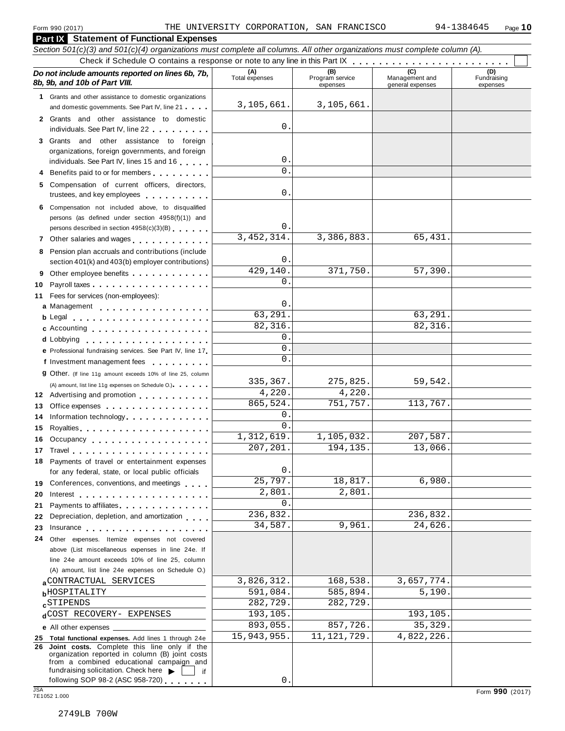**Part IX Statement of Functional Expenses**

#### Section 501(c)(3) and 501(c)(4) organizations must complete all columns. All other organizations must complete column (A). Check if Schedule <sup>O</sup> contains <sup>a</sup> response or note to any line in this Part IX m m m m m m m m m m m m m m m m m m m m m m m m *Do no* **(A) (B) (C) (D)** *t include amounts reported on lines 6b, 7b,* **8b, 9b, and 10b of Part VIII.** The construction of *B***, 9b, and 10b of Part VIII.** expenses Management and general expenses Fundraising expenses **1** Grants and other assistance to domestic organizations and domestic governments. See Part IV, line 21 m **2** Grants and other assistance to domestic individuals. See Part IV, line 22 **3** Grants and other assistance to foreign organizations, foreign governments, and foreign individuals. See Part IV, lines <sup>15</sup> and <sup>16</sup> <sup>m</sup> <sup>m</sup> <sup>m</sup> <sup>m</sup> <sup>m</sup> **<sup>4</sup>** Benefits paid to or for members <sup>m</sup> <sup>m</sup> <sup>m</sup> <sup>m</sup> <sup>m</sup> <sup>m</sup> <sup>m</sup> <sup>m</sup> <sup>m</sup> **5** Compensation of current officers, directors, trustees, and key employees m m m m m m m m m m **6** Compensation not included above, to disqualified persons (as defined under section 4958(f)(1)) and persons described in section 4958(c)(3)(B) <sup>m</sup> <sup>m</sup> <sup>m</sup> <sup>m</sup> <sup>m</sup> <sup>m</sup> **<sup>7</sup>** Other salaries and wages <sup>m</sup> <sup>m</sup> <sup>m</sup> <sup>m</sup> <sup>m</sup> <sup>m</sup> <sup>m</sup> <sup>m</sup> <sup>m</sup> <sup>m</sup> <sup>m</sup> <sup>m</sup> **8** Pension plan accruals and contributions (include section 401(k) and 403(b) employer contributions) **9** Section 401(k) and 403(b) employer contributions<br>9 Other employee benefits 9 Other employee benefits **10** Payroll taxes **10** Fees for services (non-employees): **11** Fees for services (non-employees):<br>**a** Management ..................<br>**b** Legal ......................... Legal m m m m m m m m m m m m m m m m m m m m m Legal<br>Accounting ................... Lobbying **cd** m m m m m m m m m m m m m m m m m m m A) amount, list line 11g expenses on Schedule O.)<br>**12** Advertising and promotion **manual 13** Office expenses **13** Office expenses<br>**14** Information technology **manual manual metal of the metal of the metal of the metal of 15 16** Occupancy m m m m m m m m m m m m m m m m m m **16** Occupancy ...................<br>17 Travel..................... **18** Payments of travel or entertainment expenses | for any federal, state, or local public officials<br>**19** Conferences, conventions, and meetings **19** Conferences, conventions, and meetings **endorship.**<br>20 Interest **manual meeting 21** 21 Payments to affiliates<br>22 Depreciation, depletion, and amortization <sub>1</sub> . . . **22** Depreciation, depletion, and amortization **manufation**<br>23 Insurance 24 Other expenses. Itemize expenses not covered **d** Lobbying **e**<br> **e** Professional fundraising services. See Part IV, line 17 **P** Professional fundraising services. See Part IV, line 17<br>**f** Investment management fees **g** Other. (If line 11g amount exceeds 10% of line 25, column (A) amount, list line 11g expenses on Schedule O.) measured m m m m m m m m m m m m m m m m Royalties m m m m m m m m m m m m m m m m m m m m for any federal, state, or local public officials Payments to affiliates m m m m m m m m m m m m m m above (List miscellaneous expenses in line 24e. If line 24e amount exceeds 10% of line 25, column (A) amount, list line 24e expenses on Schedule O.) **ab** HOSPITALITY 591,084. 585,894. 5,190. **c**SILPENDS<br>d<sup>C</sup>OST RECOVERY- EXPENSES 193,105. 193,105. 193,105. **e** All other expenses **25 Total functional expenses.** Add lines 1 through 24e **26 Joint costs.** Complete this line only if the organization reported in column (B) joint costs from a combined educational campaign and fundraising solicitation. Check here  $\blacktriangleright$   $\Box$  if following SOP 98-2 (ASC 958-720) following SOP 98-2 (ASC 958-720) <sup>m</sup> <sup>m</sup> <sup>m</sup> <sup>m</sup> <sup>m</sup> <sup>m</sup> <sup>m</sup> JSA Form **<sup>990</sup>** (2017) 7E1052 1.000 3,105,661. 3,105,661.  $\Omega$  $\Omega$ 0. 0. 0. 3,452,314. 3,386,883. 65,431.  $\Omega$ 429,140. 371,750. 57,390.  $\Omega$ .  $\Omega$ 63,291. 63,291. 82,316. 0. 0.  $\overline{0}$ . 335,367. 275,825. 59,542.  $4,220.$   $4,220.$ 865,524. 751,757. 113,767. 0. 0. 1,312,619. 1,105,032. 207,587. 207,201. 194,135. 13,066.  $\Omega$ 25,797. 18,817. 6,980. 2,801. 2,801. 0. 236,832. 236,832. 34,587. 9,961. 24,626.  $\texttt{CONTRACTUAL}$  SERVICES 3,826,312. 168,538. 3,657,774.  $\texttt{c}$ STIPENDS 282,729. 282,729. 893,055. 857,726. 35,329. 15,943,955. 11,121,729. 4,822,226

0.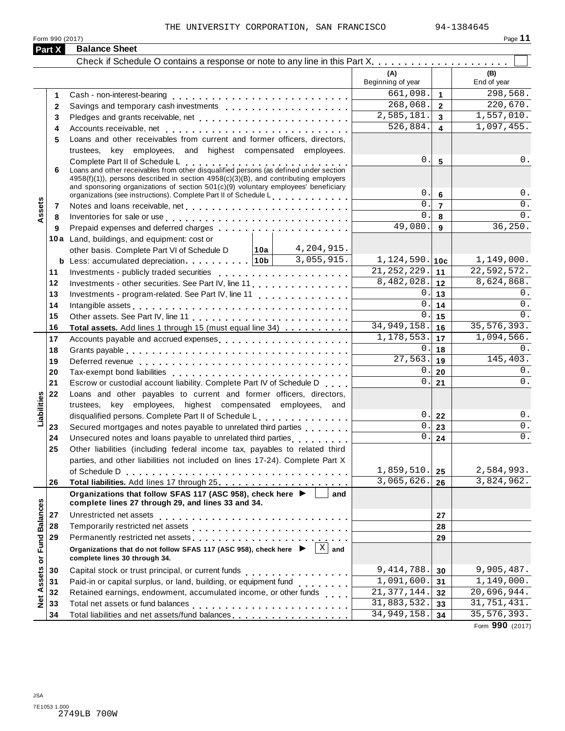| Form 990 (2017)         | <b>Balance Sheet</b>                                                                                                                                                                                                            |                           |                 | Page 11                  |
|-------------------------|---------------------------------------------------------------------------------------------------------------------------------------------------------------------------------------------------------------------------------|---------------------------|-----------------|--------------------------|
| Part X                  |                                                                                                                                                                                                                                 |                           |                 |                          |
|                         | Check if Schedule O contains a response or note to any line in this Part X.                                                                                                                                                     | (A)<br>Beginning of year  |                 | (B)<br>End of year       |
| 1                       |                                                                                                                                                                                                                                 | 661,098.                  | $\mathbf{1}$    | 298,568.                 |
| $\mathbf{2}$            |                                                                                                                                                                                                                                 | 268,068.                  | $\overline{2}$  | 220,670.                 |
| 3                       |                                                                                                                                                                                                                                 | $\overline{2,585},181.$   | $\overline{3}$  | 1,557,010.               |
| 4                       |                                                                                                                                                                                                                                 | 526,884.                  | $\overline{4}$  | 1,097,455.               |
| 5                       | Loans and other receivables from current and former officers, directors,                                                                                                                                                        |                           |                 |                          |
|                         | trustees, key employees, and highest compensated employees.                                                                                                                                                                     |                           |                 |                          |
|                         |                                                                                                                                                                                                                                 | 0.                        | $5\phantom{.0}$ | 0.                       |
| 6                       | Complete Part II of Schedule L<br>Loans and other receivables from other disqualified persons (as defined under section                                                                                                         |                           |                 |                          |
|                         | $4958(f)(1)$ , persons described in section $4958(c)(3)(B)$ , and contributing employers                                                                                                                                        |                           |                 |                          |
|                         | and sponsoring organizations of section 501(c)(9) voluntary employees' beneficiary<br>organizations (see instructions). Complete Part II of Schedule L                                                                          | 0.                        | $6\phantom{1}$  | 0.                       |
| Assets<br>7             |                                                                                                                                                                                                                                 | $\mathbf{0}$ .            | $\overline{7}$  | 0.                       |
| 8                       | Inventories for sale or use enterprise to contact the contact of the sale or use of the contact to contact the                                                                                                                  | $\Omega$ .                | 8               | 0.                       |
| 9                       |                                                                                                                                                                                                                                 | 49,080.                   | 9               | 36, 250.                 |
|                         | 10a Land, buildings, and equipment: cost or                                                                                                                                                                                     |                           |                 |                          |
|                         | other basis. Complete Part VI of Schedule D   10a   4, 204, 915.                                                                                                                                                                |                           |                 |                          |
|                         | 3,055,915.<br><b>b</b> Less: accumulated depreciation. $ 10b $                                                                                                                                                                  | $1,124,590.$ 10c          |                 | 1,149,000.               |
| 11                      |                                                                                                                                                                                                                                 | $\overline{21,252,229}$ . | 11              | 22,592,572.              |
| 12                      | Investments - other securities. See Part IV, line 11                                                                                                                                                                            | 8,482,028.                | 12              | 8,624,868.               |
| 13                      | Investments - program-related. See Part IV, line 11                                                                                                                                                                             | 0.                        | 13              | 0.                       |
| 14                      |                                                                                                                                                                                                                                 | 0.                        | 14              | 0.                       |
| 15                      |                                                                                                                                                                                                                                 | 0.                        | 15              | 0.                       |
| 16                      | Total assets. Add lines 1 through 15 (must equal line 34)                                                                                                                                                                       | $\overline{34,949,}$ 158. | 16              | 35, 576, 393.            |
| 17                      | Accounts payable and accrued expenses entitled and accrue and accrued expenses                                                                                                                                                  | 1, 178, 553.              | 17              | 1,094,566.               |
| 18                      |                                                                                                                                                                                                                                 | 0.                        | 18              | $0$ .                    |
| 19                      |                                                                                                                                                                                                                                 | $\overline{27,563}$ .     | 19              | 145,403.                 |
| 20                      |                                                                                                                                                                                                                                 | 0.                        | 20              | 0.                       |
| 21                      | Escrow or custodial account liability. Complete Part IV of Schedule D                                                                                                                                                           | 0.                        | 21              | $0$ .                    |
| 22                      | Loans and other payables to current and former officers, directors,                                                                                                                                                             |                           |                 |                          |
| Liabilities             | trustees, key employees, highest compensated employees, and                                                                                                                                                                     |                           |                 |                          |
|                         | disqualified persons. Complete Part II of Schedule L.                                                                                                                                                                           | 0.1                       | 22              | 0.                       |
| 23                      | Secured mortgages and notes payable to unrelated third parties                                                                                                                                                                  | 0.                        | 23              | 0.                       |
| 24                      | Unsecured notes and loans payable to unrelated third parties                                                                                                                                                                    | $\overline{0}$ .          | 24              | 0.                       |
| 25                      | Other liabilities (including federal income tax, payables to related third                                                                                                                                                      |                           |                 |                          |
|                         | parties, and other liabilities not included on lines 17-24). Complete Part X                                                                                                                                                    |                           |                 |                          |
|                         |                                                                                                                                                                                                                                 | 1,859,510.                | 25              | 2,584,993.               |
| 26                      |                                                                                                                                                                                                                                 | 3,065,626.                | 26              | 3,824,962.               |
| <b>Fund Balances</b>    | Organizations that follow SFAS 117 (ASC 958), check here ▶<br>and<br>complete lines 27 through 29, and lines 33 and 34.                                                                                                         |                           |                 |                          |
| 27                      | Unrestricted net assets                                                                                                                                                                                                         |                           | 27              |                          |
| 28                      |                                                                                                                                                                                                                                 |                           | 28              |                          |
| 29                      | Permanently restricted net assets<br>intervals and intervals are neglected to the set of the assets are neglected to the set of the set of the set of the set of the set of the set of the set of the set of the set of the set |                           | 29              |                          |
| ŏ                       | Organizations that do not follow SFAS 117 (ASC 958), check here $\blacktriangleright \left  \overline{X} \right $ and<br>complete lines 30 through 34.                                                                          |                           |                 |                          |
| 30                      |                                                                                                                                                                                                                                 | 9, 414, 788.              | 30              | 9,905,487.               |
| 31                      | Paid-in or capital surplus, or land, building, or equipment fund<br>                                                                                                                                                            | 1,091,600.                | 31              | $\overline{1,149}$ ,000. |
| 32                      | Retained earnings, endowment, accumulated income, or other funds                                                                                                                                                                | 21, 377, 144.             | 32              | 20,696,944.              |
| <b>Net Assets</b><br>33 |                                                                                                                                                                                                                                 | 31,883,532.               | 33              | 31,751,431.              |
| 34                      | Total liabilities and net assets/fund balances                                                                                                                                                                                  | 34, 949, 158.             | 34              | 35, 576, 393.            |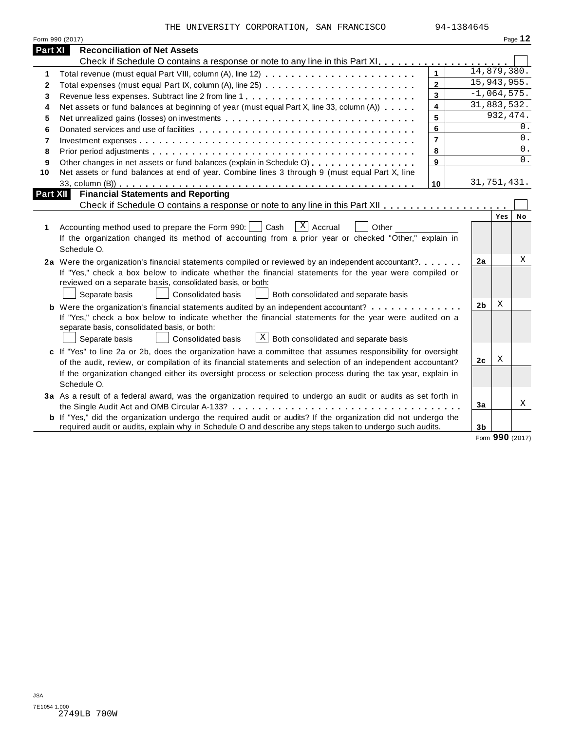THE UNIVERSITY CORPORATION, SAN FRANCISCO 94-1384645

|                | Form 990 (2017)                                                                                                                                                      |                         |                |           | Page 12 |
|----------------|----------------------------------------------------------------------------------------------------------------------------------------------------------------------|-------------------------|----------------|-----------|---------|
| <b>Part XI</b> | <b>Reconciliation of Net Assets</b>                                                                                                                                  |                         |                |           |         |
|                |                                                                                                                                                                      |                         |                |           |         |
| 1              | Total revenue (must equal Part VIII, column (A), line 12)                                                                                                            | $\mathbf{1}$            | 14,879,380.    |           |         |
| 2              | Total expenses (must equal Part IX, column (A), line 25)                                                                                                             | 15, 943, 955.           |                |           |         |
| 3              | Revenue less expenses. Subtract line 2 from line 1                                                                                                                   | $\overline{3}$          | $-1,064,575.$  |           |         |
| 4              | Net assets or fund balances at beginning of year (must equal Part X, line 33, column (A))                                                                            | $\overline{\mathbf{4}}$ | 31,883,532.    |           |         |
| 5              |                                                                                                                                                                      | 5                       |                | 932, 474. |         |
| 6              |                                                                                                                                                                      | 6                       |                |           | 0.      |
| 7              |                                                                                                                                                                      | $\overline{7}$          |                |           | 0.      |
| 8              |                                                                                                                                                                      | 8                       |                |           | $0$ .   |
| 9              | Other changes in net assets or fund balances (explain in Schedule O)                                                                                                 | 9                       |                |           | 0.      |
| 10             | Net assets or fund balances at end of year. Combine lines 3 through 9 (must equal Part X, line                                                                       |                         |                |           |         |
|                |                                                                                                                                                                      | 10                      | 31,751,431.    |           |         |
| Part XII       | <b>Financial Statements and Reporting</b>                                                                                                                            |                         |                |           |         |
|                |                                                                                                                                                                      |                         |                |           |         |
|                | $\overline{X}$ Accrual<br>Other                                                                                                                                      |                         |                | Yes       | No      |
| 1              | Accounting method used to prepare the Form 990:     Cash<br>If the organization changed its method of accounting from a prior year or checked "Other," explain in    |                         |                |           |         |
|                | Schedule O.                                                                                                                                                          |                         |                |           |         |
|                |                                                                                                                                                                      |                         |                |           | Χ       |
|                | 2a Were the organization's financial statements compiled or reviewed by an independent accountant?                                                                   |                         | 2a             |           |         |
|                | If "Yes," check a box below to indicate whether the financial statements for the year were compiled or<br>reviewed on a separate basis, consolidated basis, or both: |                         |                |           |         |
|                |                                                                                                                                                                      |                         |                |           |         |
|                | Separate basis<br>Consolidated basis<br>Both consolidated and separate basis                                                                                         |                         | 2 <sub>b</sub> | Χ         |         |
|                | <b>b</b> Were the organization's financial statements audited by an independent accountant?                                                                          |                         |                |           |         |
|                | If "Yes," check a box below to indicate whether the financial statements for the year were audited on a                                                              |                         |                |           |         |
|                | separate basis, consolidated basis, or both:<br>$\lfloor x \rfloor$ Both consolidated and separate basis                                                             |                         |                |           |         |
|                | Consolidated basis<br>Separate basis                                                                                                                                 |                         |                |           |         |
|                | c If "Yes" to line 2a or 2b, does the organization have a committee that assumes responsibility for oversight                                                        |                         | 2c             | X         |         |
|                | of the audit, review, or compilation of its financial statements and selection of an independent accountant?                                                         |                         |                |           |         |
|                | If the organization changed either its oversight process or selection process during the tax year, explain in                                                        |                         |                |           |         |
|                | Schedule O.                                                                                                                                                          |                         |                |           |         |
|                | 3a As a result of a federal award, was the organization required to undergo an audit or audits as set forth in                                                       |                         |                |           | Χ       |
|                |                                                                                                                                                                      |                         | 3a             |           |         |
|                | <b>b</b> If "Yes," did the organization undergo the required audit or audits? If the organization did not undergo the                                                |                         |                |           |         |
|                | required audit or audits, explain why in Schedule O and describe any steps taken to undergo such audits.                                                             |                         | 3 <sub>b</sub> |           |         |